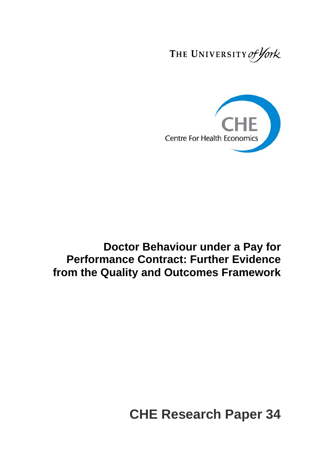THE UNIVERSITY of York



## **Doctor Behaviour under a Pay for Performance Contract: Further Evidence from the Quality and Outcomes Framework**

# **CHE Research Paper 34**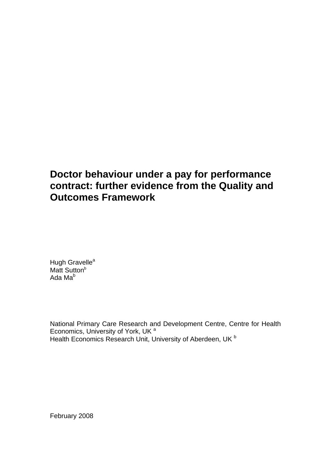## **Doctor behaviour under a pay for performance contract: further evidence from the Quality and Outcomes Framework**

Hugh Gravelle<sup>a</sup> Matt Sutton<sup>b</sup> Ada Mab

National Primary Care Research and Development Centre, Centre for Health Economics, University of York, UK<sup>a</sup> Health Economics Research Unit, University of Aberdeen, UK<sup>b</sup>

February 2008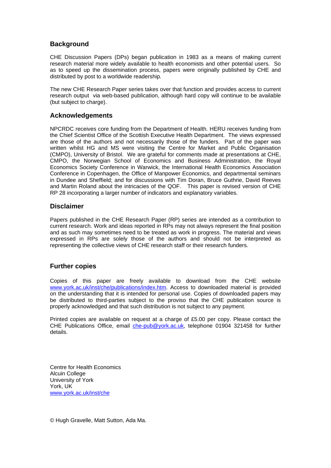## **Background**

CHE Discussion Papers (DPs) began publication in 1983 as a means of making current research material more widely available to health economists and other potential users. So as to speed up the dissemination process, papers were originally published by CHE and distributed by post to a worldwide readership.

The new CHE Research Paper series takes over that function and provides access to current research output via web-based publication, although hard copy will continue to be available (but subject to charge).

## **Acknowledgements**

NPCRDC receives core funding from the Department of Health. HERU receives funding from the Chief Scientist Office of the Scottish Executive Health Department. The views expressed are those of the authors and not necessarily those of the funders. Part of the paper was written whilst HG and MS were visiting the Centre for Market and Public Organisation (CMPO), University of Bristol. We are grateful for comments made at presentations at CHE, CMPO, the Norwegian School of Economics and Business Administration, the Royal Economics Society Conference in Warwick, the International Health Economics Association Conference in Copenhagen, the Office of Manpower Economics, and departmental seminars in Dundee and Sheffield; and for discussions with Tim Doran, Bruce Guthrie, David Reeves and Martin Roland about the intricacies of the QOF. This paper is revised version of CHE RP 28 incorporating a larger number of indicators and explanatory variables.

## **Disclaimer**

Papers published in the CHE Research Paper (RP) series are intended as a contribution to current research. Work and ideas reported in RPs may not always represent the final position and as such may sometimes need to be treated as work in progress. The material and views expressed in RPs are solely those of the authors and should not be interpreted as representing the collective views of CHE research staff or their research funders.

## **Further copies**

Copies of this paper are freely available to download from the CHE website www.york.ac.uk/inst/che/publications/index.htm. Access to downloaded material is provided on the understanding that it is intended for personal use. Copies of downloaded papers may be distributed to third-parties subject to the proviso that the CHE publication source is properly acknowledged and that such distribution is not subject to any payment.

Printed copies are available on request at a charge of £5.00 per copy. Please contact the CHE Publications Office, email che-pub@york.ac.uk, telephone 01904 321458 for further details.

Centre for Health Economics Alcuin College University of York York, UK www.york.ac.uk/inst/che

© Hugh Gravelle, Matt Sutton, Ada Ma.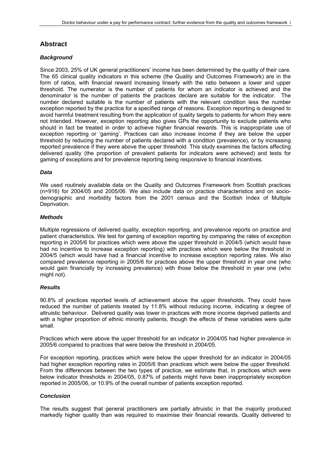## **Abstract**

#### *Background*

Since 2003, 25% of UK general practitioners' income has been determined by the quality of their care. The 65 clinical quality indicators in this scheme (the Quality and Outcomes Framework) are in the form of ratios, with financial reward increasing linearly with the ratio between a lower and upper threshold. The numerator is the number of patients for whom an indicator is achieved and the denominator is the number of patients the practices declare are suitable for the indicator. The number declared suitable is the number of patients with the relevant condition less the number exception reported by the practice for a specified range of reasons. Exception reporting is designed to avoid harmful treatment resulting from the application of quality targets to patients for whom they were not intended. However, exception reporting also gives GPs the opportunity to exclude patients who should in fact be treated in order to achieve higher financial rewards. This is inappropriate use of exception reporting or 'gaming'. Practices can also increase income if they are below the upper threshold by reducing the number of patients declared with a condition (prevalence), or by increasing reported prevalence if they were above the upper threshold. This study examines the factors affecting delivered quality (the proportion of prevalent patients for indicators were achieved) and tests for gaming of exceptions and for prevalence reporting being responsive to financial incentives.

#### *Data*

We used routinely available data on the Quality and Outcomes Framework from Scottish practices (n=916) for 2004/05 and 2005/06. We also include data on practice characteristics and on sociodemographic and morbidity factors from the 2001 census and the Scottish Index of Multiple Deprivation.

#### *Methods*

Multiple regressions of delivered quality, exception reporting, and prevalence reports on practice and patient characteristics. We test for gaming of exception reporting by comparing the rates of exception reporting in 2005/6 for practices which were above the upper threshold in 2004/5 (which would have had no incentive to increase exception reporting) with practices which were below the threshold in 2004/5 (which would have had a financial incentive to increase exception reporting rates. We also compared prevalence reporting in 2005/6 for practices above the upper threshold in year one (who would gain financially by increasing prevalence) with those below the threshold in year one (who might not).

#### *Results*

90.8% of practices reported levels of achievement above the upper thresholds. They could have reduced the number of patients treated by 11.8% without reducing income, indicating a degree of altruistic behaviour. Delivered quality was lower in practices with more income deprived patients and with a higher proportion of ethnic minority patients, though the effects of these variables were quite small.

Practices which were above the upper threshold for an indicator in 2004/05 had higher prevalence in 2005/6 compared to practices that were below the threshold in 2004/05.

For exception reporting, practices which were below the upper threshold for an indicator in 2004/05 had higher exception reporting rates in 2005/6 than practices which were below the upper threshold. From the differences between the two types of practice, we estimate that, in practices which were below indicator thresholds in 2004/05, 0.87% of patients might have been inappropriately exception reported in 2005/06, or 10.9% of the overall number of patients exception reported.

#### *Conclusion*

The results suggest that general practitioners are partially altruistic in that the majority produced markedly higher quality than was required to maximise their financial rewards. Quality delivered to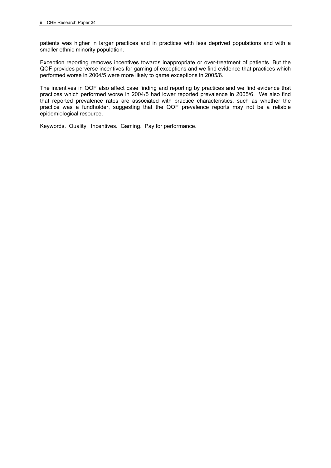patients was higher in larger practices and in practices with less deprived populations and with a smaller ethnic minority population.

Exception reporting removes incentives towards inappropriate or over-treatment of patients. But the QOF provides perverse incentives for gaming of exceptions and we find evidence that practices which performed worse in 2004/5 were more likely to game exceptions in 2005/6.

The incentives in QOF also affect case finding and reporting by practices and we find evidence that practices which performed worse in 2004/5 had lower reported prevalence in 2005/6. We also find that reported prevalence rates are associated with practice characteristics, such as whether the practice was a fundholder, suggesting that the QOF prevalence reports may not be a reliable epidemiological resource.

Keywords. Quality. Incentives. Gaming. Pay for performance.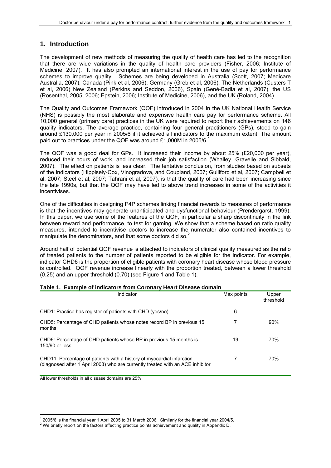## **1. Introduction**

The development of new methods of measuring the quality of health care has led to the recognition that there are wide variations in the quality of health care providers (Fisher, 2006; Institute of Medicine, 2007). It has also prompted an international interest in the use of pay for performance schemes to improve quality. Schemes are being developed in Australia (Scott, 2007; Medicare Australia, 2007), Canada (Pink et al, 2006), Germany (Greb et al, 2006), The Netherlands (Custers T et al, 2006) New Zealand (Perkins and Seddon, 2006), Spain (Gené-Badia et al, 2007), the US (Rosenthal, 2005, 2006; Epstein, 2006; Institute of Medicine, 2006), and the UK (Roland, 2004).

The Quality and Outcomes Framework (QOF) introduced in 2004 in the UK National Health Service (NHS) is possibly the most elaborate and expensive health care pay for performance scheme. All 10,000 general (primary care) practices in the UK were required to report their achievements on 146 quality indicators. The average practice, containing four general practitioners (GPs), stood to gain around £130,000 per year in 2005/6 if it achieved all indicators to the maximum extent. The amount paid out to practices under the QOF was around £1,000M in 2005/6.<sup>1</sup>

The QOF was a good deal for GPs. It increased their income by about 25% (£20,000 per year), reduced their hours of work, and increased their job satisfaction (Whalley, Gravelle and Sibbald, 2007). The effect on patients is less clear. The tentative conclusion, from studies based on subsets of the indicators (Hippisely-Cox, Vinogradova, and Coupland, 2007; Gulliford et al, 2007; Campbell et al, 2007; Steel et al, 2007; Tahrani et al, 2007), is that the quality of care had been increasing since the late 1990s, but that the QOF may have led to above trend increases in some of the activities it incentivises.

One of the difficulties in designing P4P schemes linking financial rewards to measures of performance is that the incentives may generate unanticipated and dysfunctional behaviour (Prendergarst, 1999). In this paper, we use some of the features of the QOF, in particular a sharp discontinuity in the link between reward and performance, to test for gaming. We show that a scheme based on ratio quality measures, intended to incentivise doctors to increase the numerator also contained incentives to manipulate the denominators, and that some doctors did so.<sup>2</sup>

Around half of potential QOF revenue is attached to indicators of clinical quality measured as the ratio of treated patients to the number of patients reported to be eligible for the indicator. For example, indicator CHD6 is the proportion of eligible patients with coronary heart disease whose blood pressure is controlled. QOF revenue increase linearly with the proportion treated, between a lower threshold (0.25) and an upper threshold (0.70) (see Figure 1 and Table 1).

| Indicator                                                                                                                                               | Max points | Upper<br>threshold |
|---------------------------------------------------------------------------------------------------------------------------------------------------------|------------|--------------------|
| CHD1: Practice has register of patients with CHD (yes/no)                                                                                               | 6          |                    |
| CHD5: Percentage of CHD patients whose notes record BP in previous 15<br>months                                                                         |            | 90%                |
| CHD6: Percentage of CHD patients whose BP in previous 15 months is<br>150/90 or less                                                                    | 19         | 70%                |
| CHD11: Percentage of patients with a history of myocardial infarction<br>(diagnosed after 1 April 2003) who are currently treated with an ACE inhibitor |            | 70%                |

#### **Table 1. Example of indicators from Coronary Heart Disease domain**

All lower thresholds in all disease domains are 25%

1

<sup>&</sup>lt;sup>1</sup> 2005/6 is the financial year 1 April 2005 to 31 March 2006. Similarly for the financial year 2004/5.

<sup>&</sup>lt;sup>2</sup> We briefly report on the factors affecting practice points achievement and quality in Appendix D.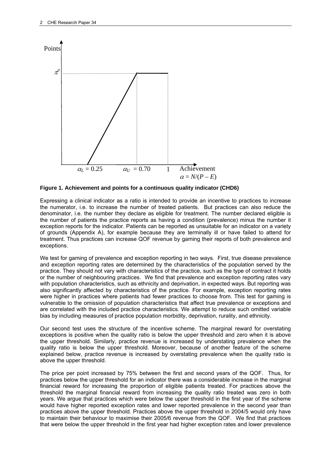

**Figure 1. Achievement and points for a continuous quality indicator (CHD6)** 

Expressing a clinical indicator as a ratio is intended to provide an incentive to practices to increase the numerator, i.e. to increase the number of treated patients. But practices can also reduce the denominator, i.e. the number they declare as eligible for treatment. The number declared eligible is the number of patients the practice reports as having a condition (prevalence) minus the number it exception reports for the indicator. Patients can be reported as unsuitable for an indicator on a variety of grounds (Appendix A), for example because they are terminally ill or have failed to attend for treatment. Thus practices can increase QOF revenue by gaming their reports of both prevalence and exceptions.

We test for gaming of prevalence and exception reporting in two ways. First, true disease prevalence and exception reporting rates are determined by the characteristics of the population served by the practice. They should not vary with characteristics of the practice, such as the type of contract it holds or the number of neighbouring practices. We find that prevalence and exception reporting rates vary with population characteristics, such as ethnicity and deprivation, in expected ways. But reporting was also significantly affected by characteristics of the practice. For example, exception reporting rates were higher in practices where patients had fewer practices to choose from. This test for gaming is vulnerable to the omission of population characteristics that affect true prevalence or exceptions and are correlated with the included practice characteristics. We attempt to reduce such omitted variable bias by including measures of practice population morbidity, deprivation, rurality, and ethnicity.

Our second test uses the structure of the incentive scheme. The marginal reward for overstating exceptions is positive when the quality ratio is below the upper threshold and zero when it is above the upper threshold. Similarly, practice revenue is increased by understating prevalence when the quality ratio is below the upper threshold. Moreover, because of another feature of the scheme explained below, practice revenue is increased by overstating prevalence when the quality ratio is above the upper threshold.

The price per point increased by 75% between the first and second years of the QOF. Thus, for practices below the upper threshold for an indicator there was a considerable increase in the marginal financial reward for increasing the proportion of eligible patients treated. For practices above the threshold the marginal financial reward from increasing the quality ratio treated was zero in both years. We argue that practices which were below the upper threshold in the first year of the scheme would have higher reported exception rates and lower reported prevalence in the second year than practices above the upper threshold. Practices above the upper threshold in 2004/5 would only have to maintain their behaviour to maximise their 2005/6 revenue from the QOF. We find that practices that were below the upper threshold in the first year had higher exception rates and lower prevalence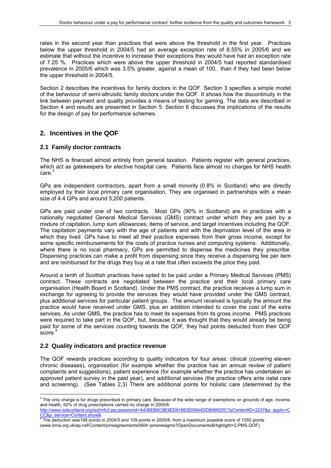rates in the second year than practices that were above the threshold in the first year. Practices below the upper threshold in 2004/5 had an average exception rate of 8.55% in 2005/6 and we estimate that without the incentive to increase their exceptions they would have had an exception rate of 7.25 %. Practices which were above the upper threshold in 2004/5 had reported standardised prevalence in 2005/6 which was 3.5% greater, against a mean of 100, than if they had been below the upper threshold in 2004/5.

Section 2 describes the incentives for family doctors in the QOF. Section 3 specifies a simple model of the behaviour of semi-altruistic family doctors under the QOF. It shows how the discontinuity in the link between payment and quality provides a means of testing for gaming. The data are described in Section 4 and results are presented in Section 5. Section 6 discusses the implications of the results for the design of pay for performance schemes.

## **2. Incentives in the QOF**

#### **2.1 Family doctor contracts**

The NHS is financed almost entirely from general taxation. Patients register with general practices, which act as gatekeepers for elective hospital care. Patients face almost no charges for NHS health care.<sup>3</sup>

GPs are independent contractors, apart from a small minority (0.8% in Scotland) who are directly employed by their local primary care organisation, They are organised in partnerships with a mean size of 4.4 GPs and around 5,200 patients.

GPs are paid under one of two contracts. Most GPs (90% in Scotland) are in practices with a nationally negotiated General Medical Services (GMS) contract under which they are paid by a mixture of capitation, lump sum allowances, items of service, and target incentives including the QOF. The capitation payments vary with the age of patients and with the deprivation level of the area in which they lived. GPs have to meet all their practice expenses from their gross income, except for some specific reimbursements for the costs of practice nurses and computing systems. Additionally, where there is no local pharmacy, GPs are permitted to dispense the medicines they prescribe. Dispensing practices can make a profit from dispensing since they receive a dispensing fee per item and are reimbursed for the drugs they buy at a rate that often exceeds the price they paid.

Around a tenth of Scottish practices have opted to be paid under a Primary Medical Services (PMS) contract. These contracts are negotiated between the practice and their local primary care organisation (Health Board in Scotland). Under the PMS contract, the practice receives a lump sum in exchange for agreeing to provide the services they would have provided under the GMS contract, plus additional services for particular patient groups. The amount received is typically the amount the practice would have received under GMS, plus an addition intended to cover the cost of the extra services. As under GMS, the practice has to meet its expenses from its gross income. PMS practices were required to take part in the QOF, but, because it was thought that they would already be being paid for some of the services counting towards the QOF, they had points deducted from their QOF  $score<sup>4</sup>$ 

#### **2.2 Quality indicators and practice revenue**

The QOF rewards practices according to quality indicators for four areas: clinical (covering eleven chronic diseases), organisation (for example whether the practice has an annual review of patient complaints and suggestions), patient experience (for example whether the practice has undertaken an approved patient survey in the past year), and additional services (the practice offers ante natal care and screening). (See Tables 2,3) There are additional points for holistic care (determined by the

 3 The only charge is for drugs prescribed in primary care. Because of the wide range of exemptions on grounds of age, income, and health, 92% of drug prescriptions carried no charge in 2005/6.

http://www.isdscotland.org/isd/info3.jsp;jsessionid=A436EB8C9E9ED916E8D06A4DDB99020C?pContentID=2237&p\_applic=C CC&p\_service=Content.show& 4 The deduction was168 points in 2004/5 and 109 points in 2005/6, from a maximum possible score of 1050 points

<sup>(</sup>www.bma.org.uk/ap.nsf/Content/pmsagreements0904~pmsnewgms?OpenDocuments&Highlight=2,PMS,QOF)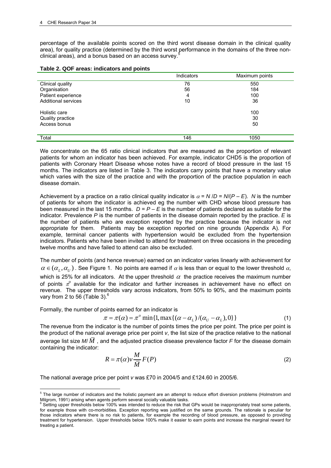percentage of the available points scored on the third worst disease domain in the clinical quality area), for quality practice (determined by the third worst performance in the domains of the three nonclinical areas), and a bonus based on an access survey.

| Table 2. QOF areas: indicators and points |  |  |  |  |  |  |
|-------------------------------------------|--|--|--|--|--|--|
|-------------------------------------------|--|--|--|--|--|--|

|                            | <b>Indicators</b> | Maximum points |
|----------------------------|-------------------|----------------|
| Clinical quality           | 76                | 550            |
| Organisation               | 56                | 184            |
| Patient experience         | 4                 | 100            |
| <b>Additional services</b> | 10                | 36             |
| Holistic care              |                   | 100            |
| Quality practice           |                   | 30             |
| Access bonus               |                   | 50             |
|                            |                   |                |
| Total                      | 146               | 1050           |

We concentrate on the 65 ratio clinical indicators that are measured as the proportion of relevant patients for whom an indicator has been achieved. For example, indicator CHD5 is the proportion of patients with Coronary Heart Disease whose notes have a record of blood pressure in the last 15 months. The indicators are listed in Table 3. The indicators carry points that have a monetary value which varies with the size of the practice and with the proportion of the practice population in each disease domain.

Achievement by a practice on a ratio clinical quality indicator is  $\alpha = N/D = N/(P - E)$ . *N* is the number of patients for whom the indicator is achieved eg the number with CHD whose blood pressure has been measured in the last 15 months.  $D = P - E$  is the number of patients declared as suitable for the indicator*.* Prevalence *P* is the number of patients in the disease domain reported by the practice. *E* is the number of patients who are exception reported by the practice because the indicator is not appropriate for them. Patients may be exception reported on nine grounds (Appendix A). For example, terminal cancer patients with hypertension would be excluded from the hypertension indicators. Patients who have been invited to attend for treatment on three occasions in the preceding twelve months and have failed to attend can also be excluded.

The number of points (and hence revenue) earned on an indicator varies linearly with achievement for  $\alpha \in (\alpha_{1}, \alpha_{1})$ . See Figure 1. No points are earned if  $\alpha$  is less than or equal to the lower threshold  $\alpha$ , which is 25% for all indicators. At the upper threshold  $\alpha$  the practice receives the maximum number of points  $\pi^0$  available for the indicator and further increases in achievement have no effect on revenue. The upper thresholds vary across indicators, from 50% to 90%, and the maximum points vary from 2 to 56 (Table 3). $^6$ 

Formally, the number of points earned for an indicator is

$$
\pi = \pi(\alpha) = \pi^o \min\{1, \max\{(\alpha - \alpha_L)/(\alpha_U - \alpha_L), 0\}\}\tag{1}
$$

The revenue from the indicator is the number of points times the price per point. The price per point is the product of the national average price per point *v*, the list size of the practice relative to the national average list size  $M/M$ , and the adjusted practice disease prevalence factor *F* for the disease domain containing the indicator:

$$
R = \pi(\alpha)v \frac{M}{\overline{M}} F(P)
$$
 (2)

The national average price per point *v* was £70 in 2004/5 and £124.60 in 2005/6.

 5 The large number of indicators and the holistic payment are an attempt to reduce effort diversion problems (Holmstrom and Milgrom, 1991) arising when agents perform several socially valuable tasks.

<sup>&</sup>lt;sup>6</sup> Setting upper thresholds below 100% was intended to reduce the risk that GPs would be inappropriately treat some patients, for example those with co-morbidities. Exception reporting was justified on the same grounds. The rationale is peculiar for those indicators where there is no risk to patients, for example the recording of blood pressure, as opposed to providing treatment for hypertension. Upper thresholds below 100% make it easier to earn points and increase the marginal reward for treating a patient.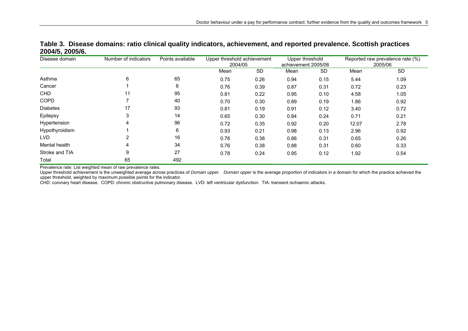| Disease domain  | Number of indicators | Points available | Upper threshold achievement<br>2004/05 |           | Upper threshold<br>achievement 2005/06 |           |       | Reported raw prevalence rate (%)<br>2005/06 |  |
|-----------------|----------------------|------------------|----------------------------------------|-----------|----------------------------------------|-----------|-------|---------------------------------------------|--|
|                 |                      |                  | Mean                                   | <b>SD</b> | Mean                                   | <b>SD</b> | Mean  | <b>SD</b>                                   |  |
| Asthma          | 6                    | 65               | 0.75                                   | 0.26      | 0.94                                   | 0.15      | 5.44  | 1.09                                        |  |
| Cancer          |                      | 6                | 0.76                                   | 0.39      | 0.87                                   | 0.31      | 0.72  | 0.23                                        |  |
| <b>CHD</b>      | 11                   | 95               | 0.81                                   | 0.22      | 0.95                                   | 0.10      | 4.58  | 1.05                                        |  |
| <b>COPD</b>     |                      | 40               | 0.70                                   | 0.30      | 0.89                                   | 0.19      | 1.86  | 0.92                                        |  |
| <b>Diabetes</b> | 17                   | 93               | 0.81                                   | 0.19      | 0.91                                   | 0.12      | 3.40  | 0.72                                        |  |
| Epilepsy        | 3                    | 14               | 0.65                                   | 0.30      | 0.84                                   | 0.24      | 0.71  | 0.21                                        |  |
| Hypertension    | 4                    | 96               | 0.72                                   | 0.35      | 0.92                                   | 0.20      | 12.07 | 2.78                                        |  |
| Hypothyroidism  |                      | 6                | 0.93                                   | 0.21      | 0.98                                   | 0.13      | 2.96  | 0.92                                        |  |
| LVD             | 2                    | 16               | 0.76                                   | 0.38      | 0.88                                   | 0.31      | 0.65  | 0.26                                        |  |
| Mental health   | 4                    | 34               | 0.76                                   | 0.38      | 0.88                                   | 0.31      | 0.60  | 0.33                                        |  |
| Stroke and TIA  | 9                    | 27               | 0.78                                   | 0.24      | 0.95                                   | 0.12      | 1.92  | 0.54                                        |  |
| Total           | 65                   | 492              |                                        |           |                                        |           |       |                                             |  |

**Table 3. Disease domains: ratio clinical quality indicators, achievement, and reported prevalence. Scottish practices 2004/5, 2005/6.** 

Prevalence rate: List weighted mean of raw prevalence rates.

Upper threshold achievement is the unweighted average across practices of *Domain upper*. *Domain upper* is the average proportion of indicators in a domain for which the practice achieved the upper threshold, weighted by maximum possible points for the indicator.

CHD: coronary heart disease. COPD: chronic obstructive pulmonary disease. LVD: left ventricular dysfunction. TIA: transient ischaemic attacks.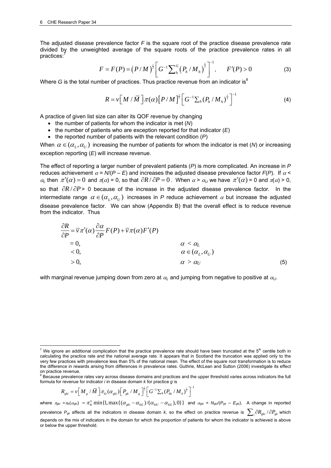The adjusted disease prevalence factor *F* is the square root of the practice disease prevalence rate divided by the unweighted average of the square roots of the practice prevalence rates in all practices:

$$
F = F(P) = (P/M)^{\frac{1}{2}} \bigg[ G^{-1} \sum_{h}^{G} (P_{h} / M_{h})^{\frac{1}{2}} \bigg]^{-1}, \qquad F'(P) > 0 \tag{3}
$$

Where  $G$  is the total number of practices. Thus practice revenue from an indicator is<sup>8</sup>

$$
R = \nu \left[ M / \overline{M} \right] \pi(\alpha) \left[ P / M \right]^{\frac{1}{2}} \left[ G^{-1} \sum_{h} \left( P_{h} / M_{h} \right)^{\frac{1}{2}} \right]^{-1}
$$
(4)

A practice of given list size can alter its QOF revenue by changing

- the number of patients for whom the indicator is met (*N*)
- the number of patients who are exception reported for that indicator (*E*)
- the reported number of patients with the relevant condition (*P*)

When  $\alpha \in (\alpha_I, \alpha_{II})$  increasing the number of patients for whom the indicator is met (*N*) or increasing exception reporting (*E*) will increase revenue.

The effect of reporting a larger number of prevalent patients (*P*) is more complicated. An increase in *P* reduces achievement  $\alpha = N/(P - E)$  and increases the adjusted disease prevalence factor  $F(P)$ . If  $\alpha$  $\alpha_L$  then  $\pi'(\alpha) = 0$  and  $\pi(\alpha) = 0$ , so that  $\partial R / \partial P = 0$ . When  $\alpha > \alpha_U$  we have  $\pi'(\alpha) = 0$  and  $\pi(\alpha) > 0$ , so that  $\partial R / \partial P$ > 0 because of the increase in the adjusted disease prevalence factor. In the intermediate range  $\alpha \in (\alpha_I, \alpha_{II})$  increases in *P* reduce achievement  $\alpha$  but increase the adjusted disease prevalence factor. We can show (Appendix B) that the overall effect is to reduce revenue from the indicator. Thus

$$
\frac{\partial R}{\partial P} = \overline{v} \pi'(\alpha) \frac{\partial \alpha}{\partial P} F(P) + \overline{v} \pi(\alpha) F'(P)
$$
  
= 0,  
 $\alpha < \alpha_L$   
 $\alpha \in (\alpha_L, \alpha_U)$   
> 0,  
 $\alpha > \alpha_U$  (5)

with marginal revenue jumping down from zero at  $\alpha_L$  and jumping from negative to positive at  $\alpha_U$ .

$$
R_{gki} = \nu \Big[ M_g / \bar{M} \Big] \pi_{ki} (\alpha_{gki}) \Big[ P_{gk} / M_g \Big]^{\frac{1}{2}} \Big[ G^{-1} \sum_h (P_{hk} / M_h)^{\frac{1}{2}} \Big]^{-1}
$$

where  $\pi_{gki} = \pi_{ki}(\alpha_{gki}) = \pi_{ki}^o \min\{1, \max\{(\alpha_{gki} - \alpha_{kil})/(\alpha_{kiU} - \alpha_{kil}), 0\}\}\)$  and  $\alpha_{gki} = N_{gki}(P_{gki} - E_{gki})$ . A change in reported prevalence  $P_{gk}$  affects all the indicators in disease domain *k*, so the effect on practice revenue is  $\sum_i \partial R_{gki} / \partial P_{gk}$  which depends on the mix of indicators in the domain for which the proportion of patients for whom the indicator is achieved is above or below the upper threshold.

 7 We ignore an additional complication that the practice prevalence rate should have been truncated at the 5th centile both in calculating the practice rate and the national average rate. It appears that in Scotland the truncation was applied only to the very few practices with prevalence less than 5% of the national mean. The effect of the square root transformation is to reduce the difference in rewards arising from differences in prevalence rates. Guthrie, McLean and Sutton (2006) investigate its effect

on practice revenue.<br><sup>8</sup> Because prevalence rates vary across disease domains and practices and the upper threshold varies across indicators the full formula for revenue for indicator *i* in disease domain *k* for practice *g* is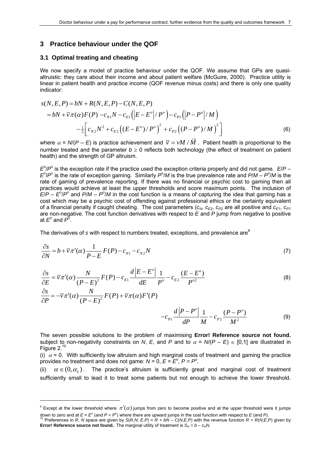#### **3 Practice behaviour under the QOF**

#### **3.1 Optimal treating and cheating**

<u>.</u>

We now specify a model of practice behaviour under the QOF. We assume that GPs are quasialtruistic: they care about their income and about patient welfare (McGuire, 2000). Practice utility is linear in patient health and practice income (QOF revenue minus costs) and there is only one quality indicator:

$$
s(N, E, P) = bN + R(N, E, P) - C(N, E, P)
$$
  
=  $bN + \overline{v}\pi(\alpha)F(P) - c_{N1}N - c_{E1}(|E - E^o|/P^o) - c_{P1}(|P - P^o|/M)$   

$$
-\frac{1}{2}\Big[c_{N2}N^2 + c_{E2}((E - E^o)/P^o)^2 + c_{P2}((P - P^o)/M)^2\Big]
$$
(6)

where  $\alpha$  = *N*/(*P* – *E*) is practice achievement and  $\bar{v} = vM/M$ . Patient health is proportional to the number treated and the parameter  $b \ge 0$  reflects both technology (the effect of treatment on patient health) and the strength of GP altruism.

 $E^0$ / $P^0$  is the exception rate if the practice used the exception criteria properly and did not game.  $E/P E^0$ /*P*<sup>o</sup> is the rate of exception gaming. Similarly *P*<sup>o</sup>/*M* is the true prevalence rate and *P*/*M* – *P*<sup>o</sup>/*M* is the rate of gaming of prevalence reporting. If there was no financial or psychic cost to gaming then all practices would achieve at least the upper thresholds and score maximum points. The inclusion of  $E/P - E^2/P^2$  and  $P/M - P^2/M$  in the cost function is a means of capturing the idea that gaming has a cost which may be a psychic cost of offending against professional ethics or the certainty equivalent of a financial penalty if caught cheating. The cost parameters  $(c_N, c_{E_2}, c_{P_2}$  are all positive and  $c_{E_1}, c_{P_1}$ are non-negative. The cost function derivatives with respect to *E* and *P* jump from negative to positive at  $E^{\circ}$  and  $\vec{P^{\circ}}$ .

The derivatives of *s* with respect to numbers treated, exceptions, and prevalence are<sup>9</sup>

$$
\frac{\partial s}{\partial N} = b + \overline{v}\pi'(\alpha)\frac{1}{P - E}F(P) - c_{N1} - c_{N2}N
$$
\n(7)

$$
\frac{\partial s}{\partial E} = \overline{v}\pi'(\alpha)\frac{N}{(P-E)^2}F(P) - c_{E1}\frac{d|E-E^o|}{dE}\frac{1}{P^o} - c_{E2}\frac{(E-E^o)}{P^{o2}}
$$
\n
$$
\frac{\partial s}{\partial P} = -\overline{v}\pi'(\alpha)\frac{N}{(P-E)^2}F(P) + \overline{v}\pi(\alpha)F'(P)
$$
\n
$$
-c_{P1}\frac{d|P-P^o|}{dP}\frac{1}{M} - c_{P2}\frac{(P-P^o)}{M^2}
$$
\n(9)

The seven possible solutions to the problem of maximising **Error! Reference source not found.** subject to non-negativity constraints on *N*, *E*, and *P* and to  $\alpha = N/(P - E) \in [0,1]$  are illustrated in Figure  $2.10$ 

(i)  $\alpha$  = 0. With sufficiently low altruism and high marginal costs of treatment and gaming the practice provides no treatment and does not game:  $N = 0$ ,  $E = E^{\circ}$ ,  $P = P^{\circ}$ .

(ii)  $\alpha \in (0, \alpha)$ . The practice's altruism is sufficiently great and marginal cost of treatment sufficiently small to lead it to treat some patients but not enough to achieve the lower threshold.

<sup>&</sup>lt;sup>9</sup> Except at the lower threshold where  $\pi'(\alpha)$  jumps from zero to become positive and at the upper threshold were it jumps

down to zero and at  $E = E^{\circ}$  (and  $P = P^{\circ}$ ) where there are upward jumps in the cost function with respect to E (and P).<br><sup>10</sup> Preferences in R, N space are given by S(R,N; E,P) = R + bN – C(N,E,P) with the revenue funct **Error! Reference source not found.** The marginal utility of treatment is  $S_N = b - c_NN$ .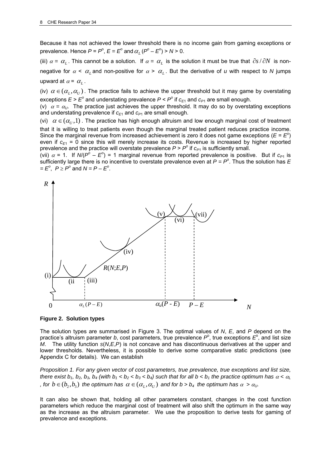Because it has not achieved the lower threshold there is no income gain from gaming exceptions or prevalence. Hence  $P = P^{\circ}$ ,  $E = E^{\circ}$  and  $\alpha_L (P^{\circ} - E^{\circ}) > N > 0$ .

(iii)  $\alpha = \alpha_L$ . This cannot be a solution. If  $\alpha = \alpha_L$  is the solution it must be true that  $\partial s / \partial N$  is nonnegative for  $\alpha < \alpha_L$  and non-positive for  $\alpha > \alpha_L$ . But the derivative of *u* with respect to *N* jumps upward at  $\alpha = \alpha_L$ .

(iv)  $\alpha \in (\alpha_I, \alpha_{II})$ . The practice fails to achieve the upper threshold but it may game by overstating exceptions  $E > E^{\circ}$  and understating prevalence  $P < P^{\circ}$  if  $c_{E1}$  and  $c_{P1}$  are small enough.

(v)  $\alpha = \alpha_U$ . The practice just achieves the upper threshold. It may do so by overstating exceptions and understating prevalence if  $c_{F1}$  and  $c_{P1}$  are small enough.

(vi)  $\alpha \in (\alpha_{\nu},1)$ . The practice has high enough altruism and low enough marginal cost of treatment that it is willing to treat patients even though the marginal treated patient reduces practice income. Since the marginal revenue from increased achievement is zero it does not game exceptions ( $E = E<sup>o</sup>$ ) even if  $c_{E1}$  = 0 since this will merely increase its costs. Revenue is increased by higher reported prevalence and the practice will overstate prevalence  $P > P^{\circ}$  if  $c_{P1}$  is sufficiently small.

(vii)  $\alpha$  = 1. If  $N(P^{\circ} - E^{\circ})$  = 1 marginal revenue from reported prevalence is positive. But if  $c_{P1}$  is sufficiently large there is no incentive to overstate prevalence even at  $P = P^{\circ}$ . Thus the solution has  $E$  $= E^{o}$ ,  $P \ge P^{o}$  and  $N = P - E^{o}$ .



**Figure 2. Solution types** 

The solution types are summarised in Figure 3. The optimal values of *N*, *E*, and *P* depend on the practice's altruism parameter *b*, cost parameters, true prevalence  $P^{\circ}$ , true exceptions  $E^{\circ}$ , and list size *M*. The utility function *s*(*N*,*E*,*P*) is not concave and has discontinuous derivatives at the upper and lower thresholds. Nevertheless, it is possible to derive some comparative static predictions (see Appendix C for details). We can establish

*Proposition 1. For any given vector of cost parameters, true prevalence, true exceptions and list size, there exist b<sub>1</sub>, b<sub>2</sub>, b<sub>3</sub>, b<sub>4</sub> (with b<sub>1</sub> < b<sub>2</sub> < b<sub>3</sub> < b<sub>4</sub>) such that for all b < b<sub>1</sub> the practice optimum has*  $\alpha$  *<*  $\alpha$ *<sub>l</sub> , for*  $b \in (b_2, b_3)$  *the optimum has*  $\alpha \in (\alpha_1, \alpha_1)$  *and for b > b<sub>4</sub> the optimum has*  $\alpha > \alpha_0$ *.* 

It can also be shown that, holding all other parameters constant, changes in the cost function parameters which reduce the marginal cost of treatment will also shift the optimum in the same way as the increase as the altruism parameter. We use the proposition to derive tests for gaming of prevalence and exceptions.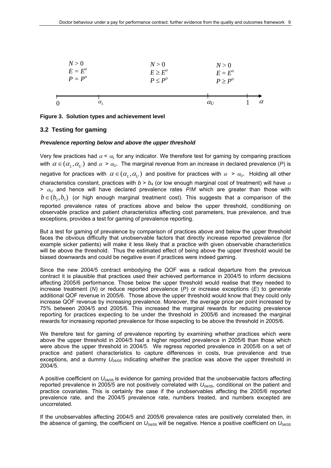|                  | N > 0<br>$E=E^o$<br>$P = P^{\circ}$ | N > 0<br>$E \geq E^{\circ}$<br>$P \leq P^{\circ}$ | N > 0<br>$E = E^o$<br>$P \geq P^{\circ}$ |          |
|------------------|-------------------------------------|---------------------------------------------------|------------------------------------------|----------|
| $\boldsymbol{0}$ | $\alpha_{\scriptscriptstyle L}$     |                                                   | $\alpha$ <sub>U</sub>                    | $\alpha$ |

**Figure 3. Solution types and achievement level** 

#### **3.2 Testing for gaming**

#### *Prevalence reporting below and above the upper threshold*

Very few practices had  $\alpha < \alpha_L$  for any indicator. We therefore test for gaming by comparing practices with  $\alpha \in (\alpha_L, \alpha_U)$  and  $\alpha > \alpha_U$ . The marginal revenue from an increase in declared prevalence (*P*) is negative for practices with  $\alpha \in (\alpha_L, \alpha_U)$  and positive for practices with  $\alpha > \alpha_U$ . Holding all other characteristics constant, practices with  $b > b_4$  (or low enough marginal cost of treatment) will have  $\alpha$  $> \alpha_U$  and hence will have declared prevalence rates P/M which are greater than those with  $b \in (b_2, b_3)$  (or high enough marginal treatment cost). This suggests that a comparison of the reported prevalence rates of practices above and below the upper threshold, conditioning on observable practice and patient characteristics affecting cost parameters, true prevalence, and true exceptions, provides a test for gaming of prevalence reporting.

But a test for gaming of prevalence by comparison of practices above and below the upper threshold faces the obvious difficulty that unobservable factors that directly increase reported prevalence (for example sicker patients) will make it less likely that a practice with given observable characteristics will be above the threshold. Thus the estimated effect of being above the upper threshold would be biased downwards and could be negative even if practices were indeed gaming.

Since the new 2004/5 contract embodying the QOF was a radical departure from the previous contract it is plausible that practices used their achieved performance in 2004/5 to inform decisions affecting 2005/6 performance. Those below the upper threshold would realise that they needed to increase treatment (*N*) or reduce reported prevalence (*P*) or increase exceptions (*E*) to generate additional QOF revenue in 2005/6. Those above the upper threshold would know that they could only increase QOF revenue by increasing prevalence. Moreover, the average price per point increased by 75% between 2004/5 and 2005/6. This increased the marginal rewards for reducing prevalence reporting for practices expecting to be under the threshold in 2005/6 and increased the marginal rewards for increasing reported prevalence for those expecting to be above the threshold in 2005/6.

We therefore test for gaming of prevalence reporting by examining whether practices which were above the upper threshold in 2004/5 had a higher reported prevalence in 2005/6 than those which were above the upper threshold in 2004/5. We regress reported prevalence in 2005/6 on a set of practice and patient characteristics to capture differences in costs, true prevalence and true exceptions, and a dummy  $U_{04/05}$  indicating whether the practice was above the upper threshold in 2004/5.

A positive coefficient on *U*04/05 is evidence for gaming provided that the unobservable factors affecting reported prevalence in 2005/5 are not positively correlated with *U*04/05, conditional on the patient and practice covariates. This is certainly the case if the unobservables affecting the 2005/6 reported prevalence rate, and the 2004/5 prevalence rate, numbers treated, and numbers excepted are uncorrelated.

If the unobservables affecting 2004/5 and 2005/6 prevalence rates are positively correlated then, in the absence of gaming, the coefficient on *U*04/05 will be negative. Hence a positive coefficient on *U*04/05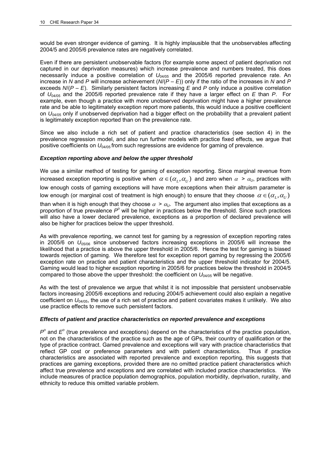would be even stronger evidence of gaming. It is highly implausible that the unobservables affecting 2004/5 and 2005/6 prevalence rates are negatively correlated.

Even if there are persistent unobservable factors (for example some aspect of patient deprivation not captured in our deprivation measures) which increase prevalence and numbers treated, this does necessarily induce a positive correlation of  $U_{04/05}$  and the 2005/6 reported prevalence rate. An increase in *N* and *P* will increase achievement (*N*/(*P* – *E*)) only if the ratio of the increases in *N* and *P*  exceeds *N*/(*P* – *E*). Similarly persistent factors increasing *E* and *P* only induce a positive correlation of *U*04/05 and the 2005/6 reported prevalence rate if they have a larger effect on *E* than *P*. For example, even though a practice with more unobserved deprivation might have a higher prevalence rate and be able to legitimately exception report more patients, this would induce a positive coefficient on  $U_{0.4/05}$  only if unobserved deprivation had a bigger effect on the probability that a prevalent patient is legitimately exception reported than on the prevalence rate.

Since we also include a rich set of patient and practice characteristics (see section 4) in the prevalence regression model, and also run further models with practice fixed effects, we argue that positive coefficients on *U*04/05 from such regressions are evidence for gaming of prevalence.

#### *Exception reporting above and below the upper threshold*

We use a similar method of testing for gaming of exception reporting. Since marginal revenue from increased exception reporting is positive when  $\alpha \in (\alpha_L, \alpha_U)$  and zero when  $\alpha > \alpha_U$ , practices with low enough costs of gaming exceptions will have more exceptions when their altruism parameter is low enough (or marginal cost of treatment is high enough) to ensure that they choose  $\alpha \in (\alpha_I, \alpha_{II})$ 

than when it is high enough that they choose  $\alpha > \alpha_{\mu}$ . The argument also implies that exceptions as a proportion of true prevalence P<sup>o</sup> will be higher in practices below the threshold. Since such practices will also have a lower declared prevalence, exceptions as a proportion of declared prevalence will also be higher for practices below the upper threshold.

As with prevalence reporting, we cannot test for gaming by a regression of exception reporting rates in 2005/6 on *U*05/06 since unobserved factors increasing exceptions in 2005/6 will increase the likelihood that a practice is above the upper threshold in 2005/6. Hence the test for gaming is biased towards rejection of gaming. We therefore test for exception report gaming by regressing the 2005/6 exception rate on practice and patient characteristics and the upper threshold indicator for 2004/5. Gaming would lead to higher exception reporting in 2005/6 for practices below the threshold in 2004/5 compared to those above the upper threshold: the coefficient on  $U_{0.4/05}$  will be negative.

As with the test of prevalence we argue that whilst it is not impossible that persistent unobservable factors increasing 2005/6 exceptions and reducing 2004/5 achievement could also explain a negative coefficient on *U*04/05, the use of a rich set of practice and patient covariates makes it unlikely. We also use practice effects to remove such persistent factors.

#### *Effects of patient and practice characteristics on reported prevalence and exceptions*

 $P<sup>o</sup>$  and  $E<sup>o</sup>$  (true prevalence and exceptions) depend on the characteristics of the practice population, not on the characteristics of the practice such as the age of GPs, their country of qualification or the type of practice contract. Gamed prevalence and exceptions will vary with practice characteristics that reflect GP cost or preference parameters and with patient characteristics. Thus if practice characteristics are associated with reported prevalence and exception reporting, this suggests that practices are gaming exceptions, provided there are no omitted practice patient characteristics which affect true prevalence and exceptions and are correlated with included practice characteristics. We include measures of practice population demographics, population morbidity, deprivation, rurality, and ethnicity to reduce this omitted variable problem.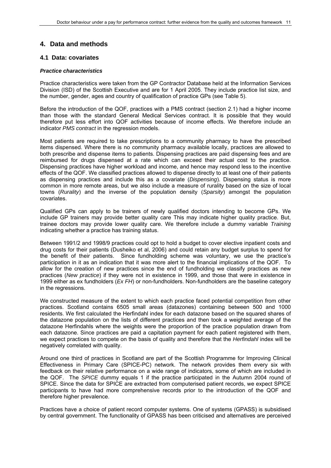## **4. Data and methods**

#### **4.1 Data: covariates**

#### *Practice characteristics*

Practice characteristics were taken from the GP Contractor Database held at the Information Services Division (ISD) of the Scottish Executive and are for 1 April 2005. They include practice list size, and the number, gender, ages and country of qualification of practice GPs (see Table 5).

Before the introduction of the QOF, practices with a PMS contract (section 2.1) had a higher income than those with the standard General Medical Services contract. It is possible that they would therefore put less effort into QOF activities because of income effects. We therefore include an indicator *PMS contract* in the regression models.

Most patients are required to take prescriptions to a community pharmacy to have the prescribed items dispensed. Where there is no community pharmacy available locally, practices are allowed to both prescribe and dispense items to patients. Dispensing practices are paid dispensing fees and are reimbursed for drugs dispensed at a rate which can exceed their actual cost to the practice. Dispensing practices have higher workload and income, and hence may respond less to the incentive effects of the QOF. We classified practices allowed to dispense directly to at least one of their patients as dispensing practices and include this as a covariate (*Dispensing*). Dispensing status is more common in more remote areas, but we also include a measure of rurality based on the size of local towns (*Rurality*) and the inverse of the population density (*Sparsity*) amongst the population covariates.

Qualified GPs can apply to be trainers of newly qualified doctors intending to become GPs. We include GP trainers may provide better quality care This may indicate higher quality practice. But, trainee doctors may provide lower quality care. We therefore include a dummy variable *Training* indicating whether a practice has training status.

Between 1991/2 and 1998/9 practices could opt to hold a budget to cover elective inpatient costs and drug costs for their patients (Dusheiko et al, 2006) and could retain any budget surplus to spend for the benefit of their patients. Since fundholding scheme was voluntary, we use the practice's participation in it as an indication that it was more alert to the financial implications of the QOF. To allow for the creation of new practices since the end of fundholding we classify practices as new practices (*New practice*) if they were not in existence in 1999, and those that were in existence in 1999 either as ex fundholders (*Ex FH*) or non-fundholders. Non-fundholders are the baseline category in the regressions.

We constructed measure of the extent to which each practice faced potential competition from other practices. Scotland contains 6505 small areas (datazones) containing between 500 and 1000 residents. We first calculated the Herfindahl index for each datazone based on the squared shares of the datazone population on the lists of different practices and then took a weighted average of the datazone Herfindahls where the weights were the proportion of the practice population drawn from each datazone. Since practices are paid a capitation payment for each patient registered with them, we expect practices to compete on the basis of quality and therefore that the *Herfindahl* index will be negatively correlated with quality.

Around one third of practices in Scotland are part of the Scottish Programme for Improving Clinical Effectiveness in Primary Care (SPICE-PC) network. The network provides them every six with feedback on their relative performance on a wide range of indicators, some of which are included in the QOF. The *SPICE* dummy equals 1 if the practice participated in the Autumn 2004 round of SPICE. Since the data for SPICE are extracted from computerised patient records, we expect SPICE participants to have had more comprehensive records prior to the introduction of the QOF and therefore higher prevalence.

Practices have a choice of patient record computer systems. One of systems (GPASS) is subsidised by central government. The functionality of GPASS has been criticised and alternatives are perceived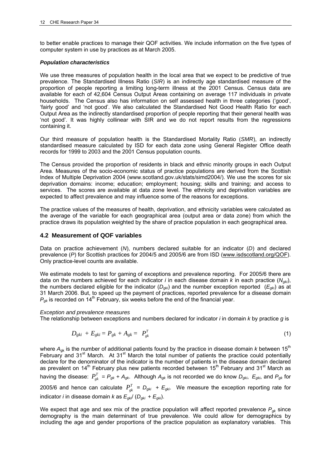to better enable practices to manage their QOF activities. We include information on the five types of computer system in use by practices as at March 2005.

#### *Population characteristics*

We use three measures of population health in the local area that we expect to be predictive of true prevalence. The Standardised Illness Ratio (*SIR*) is an indirectly age standardised measure of the proportion of people reporting a limiting long-term illness at the 2001 Census. Census data are available for each of 42,604 Census Output Areas containing on average 117 individuals in private households. The Census also has information on self assessed health in three categories ('good', 'fairly good' and 'not good'. We also calculated the Standardised Not Good Health Ratio for each Output Area as the indirectly standardised proportion of people reporting that their general health was 'not good'. It was highly collinear with SIR and we do not report results from the regressions containing it.

Our third measure of population health is the Standardised Mortality Ratio (*SMR*), an indirectly standardised measure calculated by ISD for each data zone using General Register Office death records for 1999 to 2003 and the 2001 Census population counts.

The Census provided the proportion of residents in black and ethnic minority groups in each Output Area. Measures of the socio-economic status of practice populations are derived from the Scottish Index of Multiple Deprivation 2004 (www.scotland.gov.uk/stats/simd2004/). We use the scores for six deprivation domains: income; education; employment; housing; skills and training; and access to services. The scores are available at data zone level. The ethnicity and deprivation variables are expected to affect prevalence and may influence some of the reasons for exceptions.

The practice values of the measures of health, deprivation, and ethnicity variables were calculated as the average of the variable for each geographical area (output area or data zone) from which the practice draws its population weighted by the share of practice population in each geographical area.

#### **4.2 Measurement of QOF variables**

Data on practice achievement (*N*), numbers declared suitable for an indicator (*D*) and declared prevalence (P) for Scottish practices for 2004/5 and 2005/6 are from ISD (www.isdscotland.org/QOF). Only practice-level counts are available.

We estimate models to test for gaming of exceptions and prevalence reporting. For 2005/6 there are data on the numbers achieved for each indicator *i* in each disease domain *k* in each practice  $(N_{nki})$ , the numbers declared eligible for the indicator (*Dgki*) and the number exception reported (*Egk*<sup>i</sup> ) as at 31 March 2006. But, to speed up the payment of practices, reported prevalence for a disease domain  $P_{gk}$  is recorded on 14<sup>th</sup> February, six weeks before the end of the financial year.

#### *Exception and prevalence measures*

The relationship between exceptions and numbers declared for indicator *i* in domain *k* by practice *g* is

$$
D_{gki} + E_{gki} = P_{gk} + A_{gk} = P_{gk}^T
$$
\n
$$
(1)
$$

where  $A_{nk}$  is the number of additional patients found by the practice in disease domain *k* between 15<sup>th</sup> February and 31<sup>st</sup> March. At 31<sup>st</sup> March the total number of patients the practice could potentially declare for the denominator of the indicator is the number of patients in the disease domain declared as prevalent on 14<sup>th</sup> February plus new patients recorded between 15<sup>th</sup> February and 31<sup>st</sup> March as having the disease:  $P_{gk}^T = P_{gk} + A_{gk}$ . Although  $A_{gk}$  is not recorded we do know  $D_{gki}$ ,  $E_{gki}$ , and  $P_{gk}$  for 2005/6 and hence can calculate  $P_{gk}^T = D_{gki} + E_{gki}$ . We measure the exception reporting rate for indicator *i* in disease domain *k* as  $E_{qkl}$  ( $D_{qki}$  +  $E_{qki}$ ).

We expect that age and sex mix of the practice population will affect reported prevalence  $P_{g_k}$  since demography is the main determinant of true prevalence. We could allow for demographics by including the age and gender proportions of the practice population as explanatory variables. This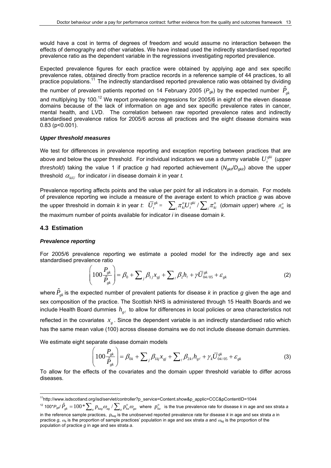would have a cost in terms of degrees of freedom and would assume no interaction between the effects of demography and other variables. We have instead used the indirectly standardised reported prevalence ratio as the dependent variable in the regressions investigating reported prevalence.

Expected prevalence figures for each practice were obtained by applying age and sex specific prevalence rates, obtained directly from practice records in a reference sample of 44 practices, to all practice populations.<sup>11</sup> The indirectly standardised reported prevalence ratio was obtained by dividing

the number of prevalent patients reported on 14 February 2005 ( $P_{gk}$ ) by the expected number  $\hat{P}_{gk}$ 

and multiplying by 100.<sup>12</sup> We report prevalence regressions for 2005/6 in eight of the eleven disease domains because of the lack of information on age and sex specific prevalence rates in cancer, mental health, and LVD. The correlation between raw reported prevalence rates and indirectly standardised prevalence ratios for 2005/6 across all practices and the eight disease domains was 0.83 (p<0.001).

#### *Upper threshold measures*

We test for differences in prevalence reporting and exception reporting between practices that are above and below the upper threshold. For individual indicators we use a dummy variable  $U_i^{gki}$  *(upper threshold*) taking the value 1 if practice *g* had reported achievement ( $N_{gkt}$ , *D<sub>gkit</sub>*) above the upper threshold  $\alpha_{iii}$  for indicator *i* in disease domain *k* in year *t*.

Prevalence reporting affects points and the value per point for all indicators in a domain. For models of prevalence reporting we include a measure of the average extent to which practice *g* was above the upper threshold in domain *k* in year  $t$ :  $\bar{U}^{sk}_t = -\sum_i \pi^o_{kl} U^{ski}_t / \sum_i \pi^o_{ki}$  (domain upper) where  $\pi^o_{ki}$  is the maximum number of points available for indicator *i* in disease domain *k*.

#### **4.3 Estimation**

<u>.</u>

#### *Prevalence reporting*

For 2005/6 prevalence reporting we estimate a pooled model for the indirectly age and sex standardised prevalence ratio

$$
\left(100\frac{P_{gk}}{\hat{P}_{gk}}\right) = \beta_0 + \sum_{j} \beta_{1j} x_{gj} + \sum_{\ell} \beta_2 h_{\ell} + \gamma \bar{U}_{04/05}^{gk} + \varepsilon_{gk}
$$
\n(2)

where  $\hat{P}_{_{\mathcal{G}^k}}$  is the expected number of prevalent patients for disease  $k$  in practice  $g$  given the age and sex composition of the practice. The Scottish NHS is administered through 15 Health Boards and we include Health Board dummies  $h_{\rho\ell}$  to allow for differences in local policies or area characteristics not reflected in the covariates  $x<sub>e</sub>$ . Since the dependent variable is an indirectly standardised ratio which has the same mean value (100) across disease domains we do not include disease domain dummies.

We estimate eight separate disease domain models

$$
\left(100\frac{P_{gk}}{\hat{P}_{gk}}\right) = \beta_{0k} + \sum_{j} \beta_{1kj} x_{gj} + \sum_{\ell} \beta_{2k\ell} h_{g\ell} + \gamma_k \overline{U}_{04/05}^{gk} + \varepsilon_{gk}
$$
(3)

To allow for the effects of the covariates and the domain upper threshold variable to differ across diseases.

<sup>11</sup>http://www.isdscotland.org/isd/servlet/controller?p\_service=Content.show&p\_applic=CCC&pContentID=1044

 $T^2$  100\* $P_{gk}/\hat{P}_{gk} = 100* \sum_a p_{kag} \omega_{ag}/\sum_a p_{ka}^o \omega_{ga}$  where  $p_{ka}^o$  is the true prevalence rate for disease *k* in age and sex strata *a* 

in the reference sample practices, *pkag* is the unobserved reported prevalence rate for disease *k* in age and sex strata *a* in practice *g*, <sup>ω</sup>*a* is the proportion of sample practices' population in age and sex strata *a* and <sup>ω</sup>*ag* is the proportion of the population of practice *g* in age and sex strata *a*.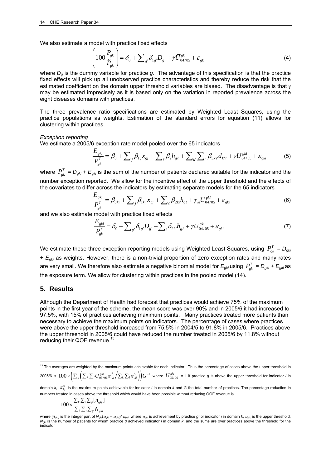We also estimate a model with practice fixed effects

$$
\left(100\frac{P_{gk}}{\hat{P}_{gk}}\right) = \delta_0 + \sum_{g'} \delta_{1g'} D_{g'} + \gamma \overline{U}_{04/05}^{gk} + \varepsilon_{gk}
$$
\n(4)

where *Dg* is the dummy variable for practice *g*. The advantage of this specification is that the practice fixed effects will pick up all unobserved practice characteristics and thereby reduce the risk that the estimated coefficient on the domain upper threshold variables are biased. The disadvantage is that  $\gamma$ may be estimated imprecisely as it is based only on the variation in reported prevalence across the eight diseases domains with practices.

The three prevalence ratio specifications are estimated by Weighted Least Squares, using the practice populations as weights. Estimation of the standard errors for equation (11) allows for clustering within practices.

#### *Exception reporting*

We estimate a 2005/6 exception rate model pooled over the 65 indicators

$$
\frac{E_{gki}}{P_{gk}^{T}} = \beta_0 + \sum_{j} \beta_{1j} x_{gj} + \sum_{\ell} \beta_2 h_{g\ell} + \sum_{k'} \sum_{i'} \beta_{3k'i'} d_{k'i'} + \gamma U_{04/05}^{gki} + \varepsilon_{gki}
$$
(5)

where  $P_{gk}^T = D_{gki} + E_{gki}$  is the sum of the number of patients declared suitable for the indicator and the number exception reported. We allow for the incentive effect of the upper threshold and the effects of the covariates to differ across the indicators by estimating separate models for the 65 indicators

$$
\frac{E_{gki}}{P_{gk}^{T}} = \beta_{0ki} + \sum_{j} \beta_{1kij} x_{gj} + \sum_{\ell} \beta_{2ki} h_{g\ell} + \gamma_{ki} U_{04/05}^{gki} + \varepsilon_{gki}
$$
(6)

and we also estimate model with practice fixed effects

$$
\frac{E_{gki}}{P_{gk}^{T}} = \delta_0 + \sum_{g'} \delta_{1g'} D_{g'} + \sum_{\ell} \delta_{2ki} h_{g\ell} + \gamma U_{04/05}^{gki} + \varepsilon_{gki}
$$
\n(7)

We estimate these three exception reporting models using Weighted Least Squares, using  $P_{\rho k}^T = D_{gki}$ + *Egki* as weights. However, there is a non-trivial proportion of zero exception rates and many rates are very small. We therefore also estimate a negative binomial model for  $E_{gki}$  using  $P_{gki}^T = D_{gki} + E_{gki}$  as the exposure term. We allow for clustering within practices in the pooled model (14).

#### **5. Results**

1

Although the Department of Health had forecast that practices would achieve 75% of the maximum points in the first year of the scheme, the mean score was over 90% and in 2005/6 it had increased to 97.5%, with 15% of practices achieving maximum points. Many practices treated more patients than necessary to achieve the maximum points on indicators. The percentage of cases where practices were above the upper threshold increased from 75.5% in 2004/5 to 91.8% in 2005/6. Practices above the upper threshold in 2005/6 could have reduced the number treated in 2005/6 by 11.8% without reducing their QOF revenue.

$$
100 \times \frac{\sum_{k} \sum_{i} \sum_{g} [n_{gki}]}{\sum_{k} \sum_{i} \sum_{g} N_{gki}}
$$

 $13$  The averages are weighted by the maximum points achievable for each indicator. Thus the percentage of cases above the upper threshold in

<sup>2005/6</sup> is  $100\times\Bigl(\sum_s\Bigl(\sum_k\sum_iU_{05/06}^{gki}\pi_{_{ki}}^o\Bigl/\sum_k\sum_i\pi_{_{ki}}^o\Bigr)\Bigr)G^{-1}$  where  $\ U_{05/06}^{gki}=$  1 if practice  $g$  is above the upper threshold for indicator *i* in

domain  $k$ ,  $\pi_{li}^o$  is the maximum points achievable for indicator *i* in domain k and G the total number of practices. The percentage reduction in numbers treated in cases above the threshold which would have been possible without reducing QOF revenue is

where [n<sub>gki</sub>] is the integer part of N<sub>gki</sub>( $\alpha_{gki} - \alpha_{Uki}$ )/  $\alpha_{gki}$  where  $\alpha_{gki}$  is achievement by practice g for indicator *i* in domain k,  $\alpha_{kU}$  is the upper threshold, *N<sub>gki</sub>* is the number of patients for whom practice *g* achieved indicator *i* in domain *k*, and the sums are over practices above the threshold for the indicator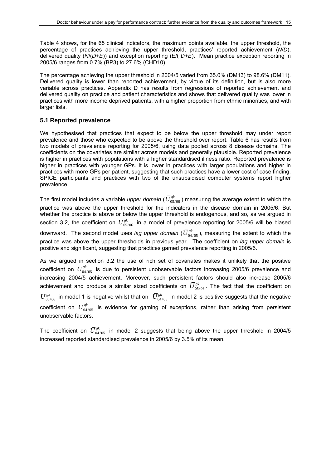Table 4 shows, for the 65 clinical indicators, the maximum points available, the upper threshold, the percentage of practices achieving the upper threshold, practices' reported achievement (*N*/*D*), delivered quality (*N*/(*D+E*)) and exception reporting (*E*/( *D+E*). Mean practice exception reporting in 2005/6 ranges from 0.7% (BP3) to 27.6% (CHD10).

The percentage achieving the upper threshold in 2004/5 varied from 35.0% (DM13) to 98.6% (DM11). Delivered quality is lower than reported achievement, by virtue of its definition, but is also more variable across practices. Appendix D has results from regressions of reported achievement and delivered quality on practice and patient characteristics and shows that delivered quality was lower in practices with more income deprived patients, with a higher proportion from ethnic minorities, and with larger lists.

#### **5.1 Reported prevalence**

We hypothesised that practices that expect to be below the upper threshold may under report prevalence and those who expected to be above the threshold over report. Table 6 has results from two models of prevalence reporting for 2005/6, using data pooled across 8 disease domains. The coefficients on the covariates are similar across models and generally plausible. Reported prevalence is higher in practices with populations with a higher standardised illness ratio. Reported prevalence is higher in practices with younger GPs. It is lower in practices with larger populations and higher in practices with more GPs per patient, suggesting that such practices have a lower cost of case finding. SPICE participants and practices with two of the unsubsidised computer systems report higher prevalence.

The first model includes a variable *upper domain* (  $\bar{U}^{gk}_{05/06}$  ) measuring the average extent to which the practice was above the upper threshold for the indicators in the disease domain in 2005/6. But whether the practice is above or below the upper threshold is endogenous, and so, as we argued in section 3.2, the coefficient on  $\bar{U}_{05/06}^{gk}$  in a model of prevalence reporting for 2005/6 will be biased downward. The second model uses *lag upper domain* ( $\bar{U}^{gk}_{04/05}$ ), measuring the extent to which the practice was above the upper thresholds in previous year. The coefficient on *lag upper domain* is positive and significant, suggesting that practices gamed prevalence reporting in 2005/6.

As we argued in section 3.2 the use of rich set of covariates makes it unlikely that the positive coefficient on  $\bar{U}^{gk}_{04/05}$  is due to persistent unobservable factors increasing 2005/6 prevalence and increasing 2004/5 achievement. Moreover, such persistent factors should also increase 2005/6 achievement and produce a similar sized coefficients on  $\bar{U}^{gk}_{05/06}$ . The fact that the coefficient on  $\bar U_{05/06}^{gk}$  in model 1 is negative whilst that on  $\bar U_{04/05}^{gk}$  in model 2 is positive suggests that the negative coefficient on  $\bar{U}^{gk}_{04/05}$  is evidence for gaming of exceptions, rather than arising from persistent unobservable factors.

The coefficient on  $\bar{U}^{gk}_{04/05}$  in model 2 suggests that being above the upper threshold in 2004/5 increased reported standardised prevalence in 2005/6 by 3.5% of its mean.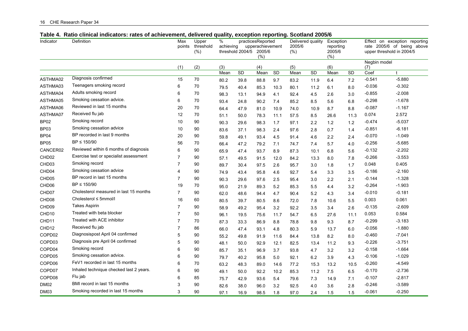|  |  | 16 CHE Research Paper 34 |  |  |
|--|--|--------------------------|--|--|
|--|--|--------------------------|--|--|

| 2005/6<br>rate 2005/6 of being above<br>points<br>threshold<br>achieving<br>upperachievement<br>reporting<br>threshold 2004/5<br>2005/6<br>(%)<br>2005/6<br>upper threshold in 2004/5<br>(% )<br>(%)<br>(%)<br>Negbin model<br>(6)<br>(1)<br>(2)<br>(3)<br>(4)<br>(5)<br>(7)<br>SD<br>SD<br>SD<br>SD<br>Coef<br>Mean<br>Mean<br>Mean<br>Mean<br>t<br>Diagnosis confirmed<br>ASTHMA02<br>15<br>70<br>$-0.541$<br>$-5.880$<br>7.2<br>80.2<br>39.8<br>88.8<br>9.7<br>83.2<br>11.9<br>6.4<br>Teenagers smoking record<br>70<br>$-0.036$<br>$-0.302$<br>ASTHMA03<br>6<br>79.5<br>85.3<br>10.3<br>11.2<br>6.1<br>8.0<br>40.4<br>80.1<br>Adults smoking record<br>70<br>$-2.008$<br>ASTHMA04<br>6<br>$-0.855$<br>98.3<br>4.1<br>4.5<br>3.0<br>13.1<br>94.9<br>92.4<br>2.6<br>Smoking cessation advice.<br>70<br>$-1.678$<br>ASTHMA05<br>6<br>$-0.298$<br>93.4<br>90.2<br>8.5<br>5.6<br>6.8<br>24.8<br>7.4<br>85.2<br>Reviewed in last 15 months<br>ASTHMA06<br>$-0.087$<br>$-1.167$<br>20<br>70<br>8.8<br>64.4<br>47.9<br>81.0<br>10.9<br>74.0<br>10.9<br>8.7<br>Received flu jab<br>ASTHMA07<br>70<br>0.074<br>2.572<br>12<br>51.1<br>78.3<br>8.5<br>26.6<br>11.3<br>50.0<br>11.1<br>57.5 | Effect on exception reporting |  |
|-------------------------------------------------------------------------------------------------------------------------------------------------------------------------------------------------------------------------------------------------------------------------------------------------------------------------------------------------------------------------------------------------------------------------------------------------------------------------------------------------------------------------------------------------------------------------------------------------------------------------------------------------------------------------------------------------------------------------------------------------------------------------------------------------------------------------------------------------------------------------------------------------------------------------------------------------------------------------------------------------------------------------------------------------------------------------------------------------------------------------------------------------------------------------------------|-------------------------------|--|
|                                                                                                                                                                                                                                                                                                                                                                                                                                                                                                                                                                                                                                                                                                                                                                                                                                                                                                                                                                                                                                                                                                                                                                                     |                               |  |
|                                                                                                                                                                                                                                                                                                                                                                                                                                                                                                                                                                                                                                                                                                                                                                                                                                                                                                                                                                                                                                                                                                                                                                                     |                               |  |
|                                                                                                                                                                                                                                                                                                                                                                                                                                                                                                                                                                                                                                                                                                                                                                                                                                                                                                                                                                                                                                                                                                                                                                                     |                               |  |
|                                                                                                                                                                                                                                                                                                                                                                                                                                                                                                                                                                                                                                                                                                                                                                                                                                                                                                                                                                                                                                                                                                                                                                                     |                               |  |
|                                                                                                                                                                                                                                                                                                                                                                                                                                                                                                                                                                                                                                                                                                                                                                                                                                                                                                                                                                                                                                                                                                                                                                                     |                               |  |
|                                                                                                                                                                                                                                                                                                                                                                                                                                                                                                                                                                                                                                                                                                                                                                                                                                                                                                                                                                                                                                                                                                                                                                                     |                               |  |
|                                                                                                                                                                                                                                                                                                                                                                                                                                                                                                                                                                                                                                                                                                                                                                                                                                                                                                                                                                                                                                                                                                                                                                                     |                               |  |
|                                                                                                                                                                                                                                                                                                                                                                                                                                                                                                                                                                                                                                                                                                                                                                                                                                                                                                                                                                                                                                                                                                                                                                                     |                               |  |
|                                                                                                                                                                                                                                                                                                                                                                                                                                                                                                                                                                                                                                                                                                                                                                                                                                                                                                                                                                                                                                                                                                                                                                                     |                               |  |
|                                                                                                                                                                                                                                                                                                                                                                                                                                                                                                                                                                                                                                                                                                                                                                                                                                                                                                                                                                                                                                                                                                                                                                                     |                               |  |
|                                                                                                                                                                                                                                                                                                                                                                                                                                                                                                                                                                                                                                                                                                                                                                                                                                                                                                                                                                                                                                                                                                                                                                                     |                               |  |
| Smoking record<br>$-5.037$<br><b>BP02</b><br>90<br>10<br>$-0.474$<br>2.2<br>1.2<br>90.3<br>98.3<br>1.7<br>97.1<br>1.2<br>29.6                                                                                                                                                                                                                                                                                                                                                                                                                                                                                                                                                                                                                                                                                                                                                                                                                                                                                                                                                                                                                                                       |                               |  |
| Smoking cessation advice<br>$-6.181$<br>BP03<br>10<br>90<br>$-0.851$<br>2.8<br>0.7<br>83.6<br>37.1<br>98.3<br>2.4<br>97.6<br>1.4                                                                                                                                                                                                                                                                                                                                                                                                                                                                                                                                                                                                                                                                                                                                                                                                                                                                                                                                                                                                                                                    |                               |  |
| BP recorded in last 9 months<br>$-0.070$<br>$-1.049$<br>BP04<br>20<br>90<br>59.8<br>49.1<br>93.4<br>4.5<br>91.4<br>4.6<br>2.2<br>2.4                                                                                                                                                                                                                                                                                                                                                                                                                                                                                                                                                                                                                                                                                                                                                                                                                                                                                                                                                                                                                                                |                               |  |
| BP ≤ 150/90<br><b>BP05</b><br>56<br>70<br>$-0.256$<br>$-5.685$<br>66.4<br>47.2<br>79.2<br>7.1<br>7.4<br>5.7<br>4.0<br>74.7                                                                                                                                                                                                                                                                                                                                                                                                                                                                                                                                                                                                                                                                                                                                                                                                                                                                                                                                                                                                                                                          |                               |  |
| Reviewed within 6 months of diagnosis<br>CANCER02<br>6<br>90<br>$-0.132$<br>$-2.202$<br>8.9<br>5.6<br>65.9<br>47.4<br>93.7<br>87.3<br>6.8<br>10.1                                                                                                                                                                                                                                                                                                                                                                                                                                                                                                                                                                                                                                                                                                                                                                                                                                                                                                                                                                                                                                   |                               |  |
| Exercise test or specialist assessment<br>90<br>$-0.266$<br>$-3.553$<br>CHD <sub>02</sub><br>7<br>57.1<br>49.5<br>12.0<br>84.2<br>13.3<br>8.0<br>7.8<br>91.5                                                                                                                                                                                                                                                                                                                                                                                                                                                                                                                                                                                                                                                                                                                                                                                                                                                                                                                                                                                                                        |                               |  |
| Smoking record<br>CHD <sub>03</sub><br>$\overline{7}$<br>90<br>0.048<br>0.405<br>89.7<br>30.4<br>97.5<br>2.6<br>95.7<br>3.0<br>1.8<br>1.7                                                                                                                                                                                                                                                                                                                                                                                                                                                                                                                                                                                                                                                                                                                                                                                                                                                                                                                                                                                                                                           |                               |  |
| Smoking cessation advice<br>CHD <sub>04</sub><br>90<br>$-0.186$<br>$-2.160$<br>4<br>74.9<br>4.6<br>3.5<br>43.4<br>95.8<br>92.7<br>5.4<br>3.3                                                                                                                                                                                                                                                                                                                                                                                                                                                                                                                                                                                                                                                                                                                                                                                                                                                                                                                                                                                                                                        |                               |  |
| BP record in last 15 months<br>CHD <sub>05</sub><br>7<br>90<br>$-1.328$<br>$-0.144$<br>2.1<br>90.3<br>97.6<br>2.5<br>95.4<br>3.0<br>2.2<br>29.6                                                                                                                                                                                                                                                                                                                                                                                                                                                                                                                                                                                                                                                                                                                                                                                                                                                                                                                                                                                                                                     |                               |  |
| $BP \leq 150/90$<br>70<br>$-0.264$<br>$-1.903$<br>CHD06<br>19<br>3.2<br>95.0<br>21.9<br>89.3<br>5.2<br>85.3<br>5.5<br>4.4                                                                                                                                                                                                                                                                                                                                                                                                                                                                                                                                                                                                                                                                                                                                                                                                                                                                                                                                                                                                                                                           |                               |  |
| Cholesterol measured in last 15 months<br>CHD <sub>07</sub><br>90<br>$-0.010$<br>$-0.181$<br>7<br>62.0<br>5.2<br>3.4<br>48.6<br>94.4<br>4.7<br>90.4<br>4.3                                                                                                                                                                                                                                                                                                                                                                                                                                                                                                                                                                                                                                                                                                                                                                                                                                                                                                                                                                                                                          |                               |  |
| Cholesterol ≤ 5mmol/l<br>CHD <sub>08</sub><br>16<br>60<br>0.003<br>0.061<br>80.5<br>5.5<br>39.7<br>80.5<br>8.6<br>72.0<br>7.8<br>10.6                                                                                                                                                                                                                                                                                                                                                                                                                                                                                                                                                                                                                                                                                                                                                                                                                                                                                                                                                                                                                                               |                               |  |
| Takes Aspirin<br>$-2.609$<br>CHD <sub>09</sub><br>90<br>$-0.135$<br>7<br>2.6<br>58.9<br>49.2<br>95.4<br>3.2<br>92.2<br>3.5<br>3.4                                                                                                                                                                                                                                                                                                                                                                                                                                                                                                                                                                                                                                                                                                                                                                                                                                                                                                                                                                                                                                                   |                               |  |
| Treated with beta blocker<br>0.584<br>CHD <sub>10</sub><br>7<br>50<br>0.053<br>96.1<br>19.5<br>75.6<br>11.7<br>54.7<br>6.5<br>27.6<br>11.1                                                                                                                                                                                                                                                                                                                                                                                                                                                                                                                                                                                                                                                                                                                                                                                                                                                                                                                                                                                                                                          |                               |  |
| Treated with ACE inhibitor<br>$-0.299$<br>$-3.183$<br>CHD <sub>11</sub><br>7<br>70<br>87.3<br>8.7<br>33.3<br>86.9<br>8.8<br>78.8<br>9.8<br>9.3                                                                                                                                                                                                                                                                                                                                                                                                                                                                                                                                                                                                                                                                                                                                                                                                                                                                                                                                                                                                                                      |                               |  |
| Received flu jab<br>$-1.880$<br>CHD <sub>12</sub><br>7<br>86<br>$-0.056$<br>66.0<br>93.1<br>4.8<br>5.9<br>6.0<br>47.4<br>80.3<br>13.7                                                                                                                                                                                                                                                                                                                                                                                                                                                                                                                                                                                                                                                                                                                                                                                                                                                                                                                                                                                                                                               |                               |  |
| Diagnosispost April 04 confirmed<br>COPD02<br>$-7.041$<br>5<br>90<br>$-0.460$<br>55.2<br>8.2<br>8.0<br>49.8<br>91.9<br>11.6<br>13.8<br>84.4                                                                                                                                                                                                                                                                                                                                                                                                                                                                                                                                                                                                                                                                                                                                                                                                                                                                                                                                                                                                                                         |                               |  |
| Diagnosis pre April 04 confirmed<br>COPD03<br>$-3.751$<br>5<br>90<br>$-0.226$<br>9.3<br>48.1<br>50.0<br>92.9<br>12.1<br>82.5<br>13.4<br>11.2                                                                                                                                                                                                                                                                                                                                                                                                                                                                                                                                                                                                                                                                                                                                                                                                                                                                                                                                                                                                                                        |                               |  |
| Smoking record<br>COPD04<br>$-1.664$<br>6<br>90<br>$-0.158$<br>96.9<br>3.7<br>4.7<br>3.2<br>3.2<br>85.7<br>35.1<br>93.8                                                                                                                                                                                                                                                                                                                                                                                                                                                                                                                                                                                                                                                                                                                                                                                                                                                                                                                                                                                                                                                             |                               |  |
| Smoking cessation advice.<br>COPD05<br>90<br>$-0.106$<br>$-1.029$<br>6<br>4.3<br>79.7<br>40.2<br>95.8<br>5.0<br>92.1<br>6.2<br>3.9                                                                                                                                                                                                                                                                                                                                                                                                                                                                                                                                                                                                                                                                                                                                                                                                                                                                                                                                                                                                                                                  |                               |  |
| FeV1 recorded in last 15 months<br>COPD06<br>6<br>70<br>$-0.260$<br>$-4.549$<br>63.2<br>10.5<br>48.3<br>89.0<br>14.6<br>77.2<br>15.3<br>13.2                                                                                                                                                                                                                                                                                                                                                                                                                                                                                                                                                                                                                                                                                                                                                                                                                                                                                                                                                                                                                                        |                               |  |
| Inhaled technique checked last 2 years.<br>COPD07<br>$-2.736$<br>6<br>90<br>$-0.170$<br>7.5<br>6.5<br>49.1<br>50.0<br>92.2<br>10.2<br>85.3<br>11.2                                                                                                                                                                                                                                                                                                                                                                                                                                                                                                                                                                                                                                                                                                                                                                                                                                                                                                                                                                                                                                  |                               |  |
| Flu jab<br>COPD08<br>$-2.817$<br>6<br>85<br>$-0.107$<br>42.9<br>93.6<br>5.4<br>14.9<br>7.1<br>75.7<br>79.6<br>7.3                                                                                                                                                                                                                                                                                                                                                                                                                                                                                                                                                                                                                                                                                                                                                                                                                                                                                                                                                                                                                                                                   |                               |  |
| BMI record in last 15 months<br><b>DM02</b><br>90<br>$-0.246$<br>$-3.589$<br>3<br>82.6<br>38.0<br>96.0<br>3.2<br>92.5<br>4.0<br>3.6<br>2.8                                                                                                                                                                                                                                                                                                                                                                                                                                                                                                                                                                                                                                                                                                                                                                                                                                                                                                                                                                                                                                          |                               |  |
| Smoking recorded in last 15 months<br>$-0.250$<br><b>DM03</b><br>3<br>90<br>$-0.061$<br>97.1<br>16.9<br>98.5<br>1.8<br>97.0<br>2.4<br>1.5<br>1.5                                                                                                                                                                                                                                                                                                                                                                                                                                                                                                                                                                                                                                                                                                                                                                                                                                                                                                                                                                                                                                    |                               |  |

## **Table 4. Ratio clinical indicators: rates of achievement, delivered quality, exception reporting. Scotland 2005/6**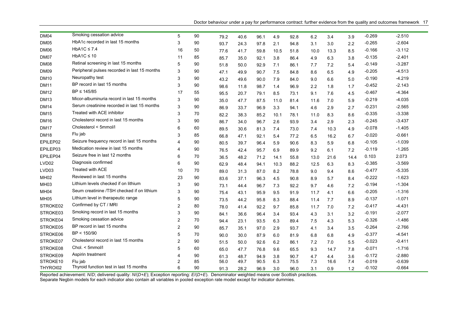Doctor behaviour under a pay for performance contract: further evidence from the quality and outcomes framework 17

| DM04              | Smoking cessation advice                     | 5              | 90 | 79.2 | 40.6 | 96.1 | 4.9  | 92.8 | 6.2  | 3.4  | 3.9  | $-0.269$ | $-2.510$ |
|-------------------|----------------------------------------------|----------------|----|------|------|------|------|------|------|------|------|----------|----------|
| <b>DM05</b>       | HbA1c recorded in last 15 months             | 3              | 90 | 93.7 | 24.3 | 97.8 | 2.1  | 94.8 | 3.1  | 3.0  | 2.2  | $-0.265$ | $-2.604$ |
| DM06              | HbA1C $\leq$ 7.4                             | 16             | 50 | 77.6 | 41.7 | 59.8 | 10.5 | 51.8 | 10.0 | 13.3 | 8.5  | $-0.166$ | $-3.112$ |
| DM07              | $HbA1C \leq 10$                              | 11             | 85 | 85.7 | 35.0 | 92.1 | 3.8  | 86.4 | 4.9  | 6.3  | 3.8  | $-0.135$ | $-2.401$ |
| <b>DM08</b>       | Retinal screening in last 15 months          | 5              | 90 | 51.8 | 50.0 | 92.9 | 7.1  | 86.1 | 7.7  | 7.2  | 5.4  | $-0.149$ | $-3.287$ |
| <b>DM09</b>       | Peripheral pulses recorded in last 15 months | 3              | 90 | 47.1 | 49.9 | 90.7 | 7.5  | 84.8 | 8.6  | 6.5  | 4.9  | $-0.205$ | $-4.513$ |
| <b>DM10</b>       | Neuropathy test                              | 3              | 90 | 43.2 | 49.6 | 90.0 | 7.9  | 84.0 | 9.0  | 6.6  | 5.0  | $-0.190$ | $-4.219$ |
| <b>DM11</b>       | BP record in last 15 months                  | 3              | 90 | 98.6 | 11.8 | 98.7 | 1.4  | 96.9 | 2.2  | 1.8  | 1.7  | $-0.452$ | $-2.143$ |
| <b>DM12</b>       | BP ≤ 145/85                                  | 17             | 55 | 95.5 | 20.7 | 79.1 | 8.5  | 73.1 | 9.1  | 7.6  | 4.5  | $-0.467$ | $-4.364$ |
| <b>DM13</b>       | Micor-albuminuria record in last 15 months   | 3              | 90 | 35.0 | 47.7 | 87.5 | 11.0 | 81.4 | 11.6 | 7.0  | 5.9  | $-0.219$ | $-4.035$ |
| <b>DM14</b>       | Serum creatinine recorded in last 15 months  | 3              | 90 | 86.9 | 33.7 | 96.9 | 3.3  | 94.1 | 4.6  | 2.9  | 2.7  | $-0.231$ | $-2.565$ |
| <b>DM15</b>       | Treated with ACE inhibitor                   | 3              | 70 | 82.2 | 38.3 | 85.2 | 10.1 | 78.1 | 11.0 | 8.3  | 8.6  | $-0.335$ | $-3.338$ |
| <b>DM16</b>       | Cholesterol record in last 15 months         | 3              | 90 | 86.7 | 34.0 | 96.7 | 2.6  | 93.9 | 3.4  | 2.9  | 2.3  | $-0.245$ | $-3.437$ |
| <b>DM17</b>       | Cholesterol < 5mmol/l                        | 6              | 60 | 89.5 | 30.6 | 81.3 | 7.4  | 73.0 | 7.4  | 10.3 | 4.9  | $-0.078$ | $-1.405$ |
| <b>DM18</b>       | Flu jab                                      | 3              | 85 | 66.8 | 47.1 | 92.1 | 5.4  | 77.2 | 6.5  | 16.2 | 6.7  | $-0.020$ | $-0.661$ |
| EPILEP02          | Seizure frequency record in last 15 months   | $\overline{4}$ | 90 | 80.5 | 39.7 | 96.4 | 5.9  | 90.6 | 8.3  | 5.9  | 6.8  | $-0.105$ | $-1.039$ |
| EPILEP03          | Medication review in last 15 months          | 4              | 90 | 76.5 | 42.4 | 95.7 | 6.9  | 89.9 | 9.2  | 6.1  | 7.2  | $-0.119$ | $-1.265$ |
| EPILEP04          | Seizure free in last 12 months               | 6              | 70 | 36.5 | 48.2 | 71.2 | 14.1 | 55.8 | 13.0 | 21.6 | 14.4 | 0.103    | 2.073    |
| LVD <sub>02</sub> | Diagnosis confirmed                          | 6              | 90 | 62.9 | 48.4 | 94.1 | 10.3 | 88.2 | 12.5 | 6.3  | 8.3  | $-0.385$ | $-3.569$ |
| LVD <sub>03</sub> | <b>Treated with ACE</b>                      | 10             | 70 | 89.0 | 31.3 | 87.0 | 8.2  | 78.8 | 9.0  | 9.4  | 8.6  | $-0.477$ | $-5.335$ |
| <b>MH02</b>       | Reviewed in last 15 months                   | 23             | 90 | 83.6 | 37.1 | 96.3 | 4.5  | 90.8 | 8.9  | 5.7  | 8.4  | $-0.222$ | $-1.623$ |
| MH <sub>03</sub>  | Lithium levels checked if on lithium         | 3              | 90 | 73.1 | 44.4 | 96.7 | 7.3  | 92.2 | 9.7  | 4.6  | 7.2  | $-0.194$ | $-1.304$ |
| MH <sub>04</sub>  | Seum creatinine /TSH checked if on lithium   | 3              | 90 | 75.4 | 43.1 | 95.9 | 9.5  | 91.9 | 11.7 | 4.1  | 6.6  | $-0.205$ | $-1.316$ |
| <b>MH05</b>       | Lithium level in therapeutic range           | 5              | 90 | 73.5 | 44.2 | 95.8 | 8.3  | 88.4 | 11.4 | 7.7  | 8.9  | $-0.137$ | $-1.071$ |
| STROKE02          | Confirmed by CT / MRI                        | 2              | 80 | 78.0 | 41.4 | 92.2 | 9.7  | 85.8 | 11.7 | 7.0  | 7.2  | $-0.417$ | $-4.431$ |
| STROKE03          | Smoking record in last 15 months             | 3              | 90 | 84.1 | 36.6 | 96.4 | 3.4  | 93.4 | 4.3  | 3.1  | 3.2  | $-0.191$ | $-2.077$ |
| STROKE04          | Smoking cessation advice                     | 2              | 70 | 94.4 | 23.1 | 93.5 | 6.3  | 89.4 | 7.5  | 4.3  | 5.3  | $-0.326$ | $-1.486$ |
| STROKE05          | BP record in last 15 months                  | 2              | 90 | 85.7 | 35.1 | 97.0 | 2.9  | 93.7 | 4.1  | 3.4  | 3.5  | $-0.264$ | $-2.766$ |
| STROKE06          | BP < 150/90                                  | 5              | 70 | 90.0 | 30.0 | 87.9 | 6.0  | 81.9 | 6.8  | 6.8  | 4.9  | $-0.377$ | $-4.541$ |
| STROKE07          | Cholesterol record in last 15 months         | 2              | 90 | 51.5 | 50.0 | 92.6 | 6.2  | 86.1 | 7.2  | 7.0  | 5.5  | $-0.023$ | $-0.411$ |
| STROKE08          | Chol. < 5mmol/l                              | 5              | 60 | 65.0 | 47.7 | 76.8 | 9.6  | 65.5 | 9.3  | 14.7 | 7.8  | $-0.071$ | $-1.716$ |
| STROKE09          | Aspirin treatment                            | $\overline{4}$ | 90 | 61.3 | 48.7 | 94.9 | 3.8  | 90.7 | 4.7  | 4.4  | 3.6  | $-0.172$ | $-2.880$ |
| STROKE10          | Flu jab                                      | $\overline{2}$ | 85 | 56.0 | 49.7 | 90.5 | 6.3  | 75.5 | 7.3  | 16.6 | 7.4  | $-0.019$ | $-0.639$ |
| THYROI02          | Thyroid function test in last 15 months      | 6              | 90 | 91.3 | 28.2 | 96.9 | 3.0  | 96.0 | 3.1  | 0.9  | 1.2  | $-0.102$ | $-0.664$ |

Reported achievement: *N*/*D*; delivered quality: *N*/(*D+E*); Exception reporting: *E*/(*D+E*). Denominator weighted means over Scottish practices. Separate Negbin models for each indicator also contain all variables in pooled exception rate model except for indicator dummies.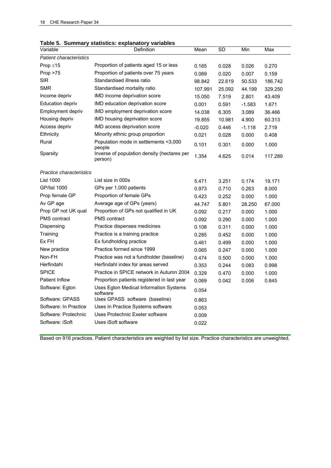| Variable                       | rable 5. Summary Statistics. Explanatory variables<br>Definition | Mean     | <b>SD</b> | Min      | Max     |
|--------------------------------|------------------------------------------------------------------|----------|-----------|----------|---------|
| <b>Patient characteristics</b> |                                                                  |          |           |          |         |
| Prop $\leq 15$                 | Proportion of patients aged 15 or less                           | 0.165    | 0.028     | 0.026    | 0.270   |
| Prop > 75                      | Proportion of patients over 75 years                             | 0.069    | 0.020     | 0.007    | 0.159   |
| <b>SIR</b>                     | Standardised illness ratio                                       | 98.842   | 22.619    | 50.533   | 186.742 |
| <b>SMR</b>                     | Standardised mortality ratio                                     | 107.991  | 25.092    | 44.199   | 329.250 |
| Income depriv                  | IMD income deprivation score                                     | 15.050   | 7.519     | 2.801    | 43.409  |
| <b>Education depriv</b>        | IMD education deprivation score                                  | 0.001    | 0.591     | $-1.583$ | 1.671   |
| Employment depriv              | IMD employment deprivation score                                 | 14.038   | 6.305     | 3.089    | 36.466  |
| Housing depriv                 | IMD housing deprivation score                                    | 19.855   | 10.981    | 4.900    | 60.313  |
| Access depriv                  | IMD access deprivation score                                     | $-0.020$ | 0.446     | $-1.118$ | 2.719   |
| Ethnicity                      | Minority ethnic group proportion                                 | 0.021    | 0.028     | 0.000    | 0.408   |
| Rural                          | Population mode in settlements <3,000<br>people                  | 0.101    | 0.301     | 0.000    | 1.000   |
| Sparsity                       | Inverse of population density (hectares per<br>person)           | 1.354    | 4.625     | 0.014    | 117.289 |
| Practice characteristics       |                                                                  |          |           |          |         |
| <b>List 1000</b>               | List size in 000s                                                | 5.471    | 3.251     | 0.174    | 19.171  |
| <b>GP/list 1000</b>            | GPs per 1,000 patients                                           | 0.973    | 0.710     | 0.263    | 8.000   |
| Prop female GP                 | Proportion of female GPs                                         | 0.423    | 0.252     | 0.000    | 1.000   |
| Av GP age                      | Average age of GPs (years)                                       | 44.747   | 5.801     | 28.250   | 67.000  |
| Prop GP not UK qual            | Proportion of GPs not qualified in UK                            | 0.092    | 0.217     | 0.000    | 1.000   |
| PMS contract                   | <b>PMS</b> contract                                              | 0.092    | 0.290     | 0.000    | 1.000   |
| Dispensing                     | Practice dispenses medicines                                     | 0.108    | 0.311     | 0.000    | 1.000   |
| Training                       | Practice is a training practice                                  | 0.285    | 0.452     | 0.000    | 1.000   |
| Ex FH                          | Ex fundholding practice                                          | 0.461    | 0.499     | 0.000    | 1.000   |
| New practice                   | Practice formed since 1999                                       | 0.065    | 0.247     | 0.000    | 1.000   |
| Non-FH                         | Practice was not a fundholder (baseline)                         | 0.474    | 0.500     | 0.000    | 1.000   |
| Herfindahl                     | Herfindahl index for areas served                                | 0.353    | 0.244     | 0.083    | 0.998   |
| <b>SPICE</b>                   | Practice in SPICE network in Autumn 2004                         | 0.329    | 0.470     | 0.000    | 1.000   |
| <b>Patient Inflow</b>          | Proportion patients registered in last year                      | 0.069    | 0.042     | 0.006    | 0.845   |
| Software: Egton                | Uses Egton Medical Information Systems<br>software               | 0.054    |           |          |         |
| Software: GPASS                | Uses GPASS software (baseline)                                   | 0.863    |           |          |         |
| Software: In Practice          | Uses In Practice Systems software                                | 0.053    |           |          |         |
| Software: Protechnic           | Uses Protechnic Exeter software                                  | 0.009    |           |          |         |
| Software: iSoft                | Uses iSoft software                                              | 0.022    |           |          |         |
|                                |                                                                  |          |           |          |         |

|  | Table 5. Summary statistics: explanatory variables |  |
|--|----------------------------------------------------|--|
|  |                                                    |  |

Based on 916 practices. Patient characteristics are weighted by list size. Practice characteristics are unweighted.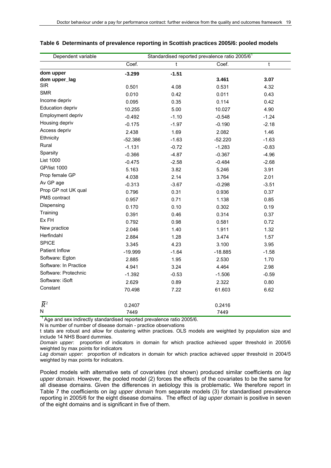| Dependent variable    |           |         | Standardised reported prevalence ratio 2005/6 <sup>1</sup> |         |
|-----------------------|-----------|---------|------------------------------------------------------------|---------|
|                       | Coef.     | t       | Coef.                                                      | t       |
| dom upper             | $-3.299$  | $-1.51$ |                                                            |         |
| dom upper_lag         |           |         | 3.461                                                      | 3.07    |
| <b>SIR</b>            | 0.501     | 4.08    | 0.531                                                      | 4.32    |
| <b>SMR</b>            | 0.010     | 0.42    | 0.011                                                      | 0.43    |
| Income depriv         | 0.095     | 0.35    | 0.114                                                      | 0.42    |
| Education depriv      | 10.255    | 5.00    | 10.027                                                     | 4.90    |
| Employment depriv     | $-0.492$  | $-1.10$ | $-0.548$                                                   | $-1.24$ |
| Housing depriv        | $-0.175$  | $-1.97$ | $-0.190$                                                   | $-2.18$ |
| Access depriv         | 2.438     | 1.69    | 2.082                                                      | 1.46    |
| Ethnicity             | $-52.386$ | $-1.63$ | $-52.220$                                                  | $-1.63$ |
| Rural                 | $-1.131$  | $-0.72$ | $-1.283$                                                   | $-0.83$ |
| Sparsity              | $-0.366$  | $-4.87$ | $-0.367$                                                   | $-4.96$ |
| <b>List 1000</b>      | $-0.475$  | $-2.58$ | $-0.484$                                                   | $-2.68$ |
| <b>GP/list 1000</b>   | 5.163     | 3.82    | 5.246                                                      | 3.91    |
| Prop female GP        | 4.038     | 2.14    | 3.764                                                      | 2.01    |
| Av GP age             | $-0.313$  | $-3.67$ | $-0.298$                                                   | $-3.51$ |
| Prop GP not UK qual   | 0.796     | 0.31    | 0.936                                                      | 0.37    |
| PMS contract          | 0.957     | 0.71    | 1.138                                                      | 0.85    |
| Dispensing            | 0.170     | 0.10    | 0.302                                                      | 0.19    |
| Training              | 0.391     | 0.46    | 0.314                                                      | 0.37    |
| Ex FH                 | 0.792     | 0.98    | 0.581                                                      | 0.72    |
| New practice          | 2.046     | 1.40    | 1.911                                                      | 1.32    |
| Herfindahl            | 2.884     | 1.28    | 3.474                                                      | 1.57    |
| <b>SPICE</b>          | 3.345     | 4.23    | 3.100                                                      | 3.95    |
| Patient Inflow        | $-19.999$ | $-1.64$ | $-18.885$                                                  | $-1.58$ |
| Software: Egton       | 2.885     | 1.95    | 2.530                                                      | 1.70    |
| Software: In Practice | 4.941     | 3.24    | 4.464                                                      | 2.98    |
| Software: Protechnic  | $-1.392$  | $-0.53$ | $-1.506$                                                   | $-0.59$ |
| Software: iSoft       | 2.629     | 0.89    | 2.322                                                      | 0.80    |
| Constant              | 70.498    | 7.22    | 61.603                                                     | 6.62    |
| $\overline{R}^2$      | 0.2407    |         | 0.2416                                                     |         |
| N                     | 7449      |         | 7449                                                       |         |

#### **Table 6 Determinants of prevalence reporting in Scottish practices 2005/6: pooled models**

 $<sup>1</sup>$  Age and sex indirectly standardised reported prevalence ratio 2005/6.</sup>

N is number of number of disease domain - practice observations

t stats are robust and allow for clustering within practices. OLS models are weighted by population size and include 14 NHS Board dummies.

*Domain upper*: proportion of indicators in domain for which practice achieved upper threshold in 2005/6 weighted by max points for indicators

*Lag domain upper*: proportion of indicators in domain for which practice achieved upper threshold in 2004/5 weighted by max points for indicators.

Pooled models with alternative sets of covariates (not shown) produced similar coefficients on *lag upper domain.* However, the pooled model (2) forces the effects of the covariates to be the same for all disease domains. Given the differences in aetiology this is problematic. We therefore report in Table 7 the coefficients on *lag upper domain* from separate models (3) for standardised prevalence reporting in 2005/6 for the eight disease domains. The effect of *lag upper domain* is positive in seven of the eight domains and is significant in five of them.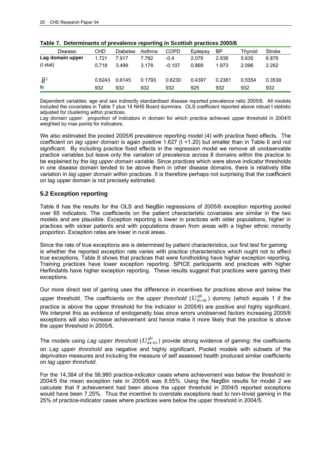| Disease:         | CHD    | Diabetes | Asthma | COPD     | Epilepsy | ΒP     | Thyroid | Stroke |
|------------------|--------|----------|--------|----------|----------|--------|---------|--------|
| Lag domain upper | 1.721  | 7.917    | 7.782  | $-0.4$   | 2.079    | 2.938  | 5.635   | 6.876  |
| $(t$ stat)       | 0.718  | 3.499    | 3.178  | $-0.107$ | 0.869    | 1.973  | 2.096   | 2.262  |
| $\overline{R}^2$ | 0.6243 | 0.6145   | 0.1793 | 0.6230   | 0.4397   | 0.2381 | 0.5354  | 0.3538 |
| N                | 932    | 932      | 932    | 932      | 925      | 932    | 932     | 932    |

**Table 7. Determinants of prevalence reporting in Scottish practices 2005/6** 

Dependent variables: age and sex indirectly standardised disease reported prevalence ratio 2005/6. All models included the covariates in Table 7 plus 14 NHS Board dummies. OLS coefficient reported above robust t statistic adjusted for clustering within practices.

*Lag domain upper*: proportion of indicators in domain for which practice achieved upper threshold in 2004/5 weighted by max points for indicators.

We also estimated the pooled 2005/6 prevalence reporting model (4) with practice fixed effects. The coefficient on *lag upper domain* is again positive 1.627 (t =1.20) but smaller than in Table 6 and not significant. By including practice fixed effects in the regression model we remove all unobservable practice variables but leave only the variation of prevalence across 8 domains within the practice to be explained by the *lag upper domain* variable. Since practices which were above indicator thresholds in one disease domain tended to be above them in other disease domains, there is relatively little variation in *lag upper domain* within practices. It is therefore perhaps not surprising that the coefficient on lag upper domain is not precisely estimated.

#### **5.2 Exception reporting**

Table 8 has the results for the OLS and NegBin regressions of 2005/6 exception reporting pooled over 65 indicators. The coefficients on the patient characteristic covariates are similar in the two models and are plausible. Exception reporting is lower in practices with older populations, higher in practices with sicker patients and with populations drawn from areas with a higher ethnic minority proportion. Exception rates are lower in rural areas.

Since the rate of true exceptions are is determined by patient characteristics, our first test for gaming is whether the reported exception rate varies with practice characteristics which ought not to affect true exceptions. Table 8 shows that practices that were fundholding have higher exception reporting. Training practices have lower exception reporting. SPICE participants and practices with higher Herfindahls have higher exception reporting. These results suggest that practices were gaming their exceptions.

Our more direct test of gaming uses the difference in incentives for practices above and below the upper threshold. The coefficients on the *upper threshold* ( $U_{05/06}^{gki}$ ) dummy (which equals 1 if the

practice is above the upper threshold for the indicator in 2005/6) are positive and highly significant. We interpret this as evidence of endogeneity bias since errors unobserved factors increasing 2005/6 exceptions will also increase achievement and hence make it more likely that the practice is above the upper threshold in 2005/6.

The models using Lag upper threshold ( $U^{gki}_{04/05}$ ) provide strong evidence of gaming: the coefficients on *Lag upper threshold* are negative and highly significant. Pooled models with subsets of the deprivation measures and including the measure of self assessed health produced similar coefficients on *lag upper threshold*.

For the 14,384 of the 56,980 practice-indicator cases where achievement was below the threshold in 2004/5 the mean exception rate in 2005/6 was 8.55%. Using the NegBin results for model 2 we calculate that if achievement had been above the upper threshold in 2004/5 reported exceptions would have been 7.25%. Thus the incentive to overstate exceptions lead to non-trivial gaming in the 25% of practice-indicator cases where practices were below the upper threshold in 2004/5.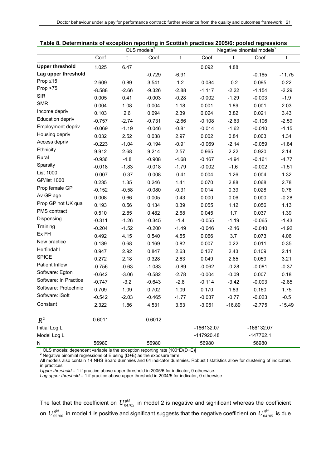|                        |          |         | $OLS$ models <sup>1</sup> |         |            |          | Negative binomial models <sup>2</sup> |          |  |
|------------------------|----------|---------|---------------------------|---------|------------|----------|---------------------------------------|----------|--|
|                        | Coef     | t       | Coef                      | t       | Coef       | t        | Coef                                  | t        |  |
| <b>Upper threshold</b> | 1.025    | 6.47    |                           |         | 0.092      | 4.88     |                                       |          |  |
| Lag upper threshold    |          |         | $-0.729$                  | $-6.91$ |            |          | $-0.165$                              | $-11.75$ |  |
| Prop $\leq 15$         | 2.609    | 0.89    | 3.541                     | $1.2$   | $-0.084$   | $-0.2$   | 0.095                                 | 0.22     |  |
| Prop > 75              | $-8.588$ | $-2.66$ | $-9.326$                  | $-2.88$ | $-1.117$   | $-2.22$  | $-1.154$                              | $-2.29$  |  |
| <b>SIR</b>             | 0.005    | 0.41    | $-0.003$                  | $-0.28$ | $-0.002$   | $-1.29$  | $-0.003$                              | $-1.9$   |  |
| <b>SMR</b>             | 0.004    | 1.08    | 0.004                     | 1.18    | 0.001      | 1.89     | 0.001                                 | 2.03     |  |
| Income depriv          | 0.103    | 2.6     | 0.094                     | 2.39    | 0.024      | 3.82     | 0.021                                 | 3.43     |  |
| Education depriv       | $-0.757$ | $-2.74$ | $-0.731$                  | $-2.66$ | $-0.108$   | $-2.63$  | $-0.106$                              | $-2.59$  |  |
| Employment depriv      | $-0.069$ | $-1.19$ | $-0.046$                  | $-0.81$ | $-0.014$   | $-1.62$  | $-0.010$                              | $-1.15$  |  |
| Housing depriv         | 0.032    | 2.52    | 0.038                     | 2.97    | 0.002      | 0.84     | 0.003                                 | 1.34     |  |
| Access depriv          | $-0.223$ | $-1.04$ | $-0.194$                  | $-0.91$ | $-0.069$   | $-2.14$  | $-0.059$                              | $-1.84$  |  |
| Ethnicity              | 9.912    | 2.68    | 9.214                     | 2.57    | 0.965      | 2.22     | 0.920                                 | 2.14     |  |
| Rural                  | $-0.936$ | $-4.8$  | $-0.908$                  | $-4.68$ | $-0.167$   | $-4.94$  | $-0.161$                              | $-4.77$  |  |
| Sparsity               | $-0.018$ | $-1.83$ | $-0.018$                  | $-1.79$ | $-0.002$   | $-1.6$   | $-0.002$                              | $-1.51$  |  |
| <b>List 1000</b>       | $-0.007$ | $-0.37$ | $-0.008$                  | $-0.41$ | 0.004      | 1.26     | 0.004                                 | 1.32     |  |
| <b>GP/list 1000</b>    | 0.235    | 1.35    | 0.246                     | 1.41    | 0.070      | 2.88     | 0.068                                 | 2.78     |  |
| Prop female GP         | $-0.152$ | $-0.58$ | $-0.080$                  | $-0.31$ | 0.014      | 0.39     | 0.028                                 | 0.76     |  |
| Av GP age              | 0.008    | 0.66    | 0.005                     | 0.43    | 0.000      | 0.06     | 0.000                                 | $-0.28$  |  |
| Prop GP not UK qual    | 0.193    | 0.56    | 0.134                     | 0.39    | 0.055      | 1.12     | 0.056                                 | 1.13     |  |
| PMS contract           | 0.510    | 2.85    | 0.482                     | 2.68    | 0.045      | 1.7      | 0.037                                 | 1.39     |  |
| Dispensing             | $-0.311$ | $-1.26$ | $-0.345$                  | $-1.4$  | $-0.055$   | $-1.19$  | $-0.065$                              | $-1.43$  |  |
| Training               | $-0.204$ | $-1.52$ | $-0.200$                  | $-1.49$ | $-0.046$   | $-2.16$  | $-0.040$                              | $-1.92$  |  |
| Ex FH                  | 0.492    | 4.15    | 0.540                     | 4.55    | 0.066      | 3.7      | 0.073                                 | 4.06     |  |
| New practice           | 0.139    | 0.68    | 0.169                     | 0.82    | 0.007      | 0.22     | 0.011                                 | 0.35     |  |
| Herfindahl             | 0.947    | 2.92    | 0.847                     | 2.63    | 0.127      | 2.43     | 0.109                                 | 2.11     |  |
| <b>SPICE</b>           | 0.272    | 2.18    | 0.328                     | 2.63    | 0.049      | 2.65     | 0.059                                 | 3.21     |  |
| Patient Inflow         | $-0.756$ | $-0.63$ | $-1.083$                  | $-0.89$ | $-0.062$   | $-0.28$  | $-0.081$                              | $-0.37$  |  |
| Software: Egton        | $-0.642$ | $-3.06$ | $-0.582$                  | $-2.78$ | $-0.004$   | $-0.09$  | 0.007                                 | 0.18     |  |
| Software: In Practice  | $-0.747$ | $-3.2$  | $-0.643$                  | $-2.8$  | $-0.114$   | $-3.42$  | $-0.093$                              | $-2.85$  |  |
| Software: Protechnic   | 0.709    | 1.09    | 0.702                     | 1.09    | 0.170      | 1.83     | 0.160                                 | 1.75     |  |
| Software: iSoft        | $-0.542$ | $-2.03$ | $-0.465$                  | $-1.77$ | $-0.037$   | $-0.77$  | $-0.023$                              | $-0.5$   |  |
| Constant               | 2.322    | 1.86    | 4.531                     | 3.63    | $-3.051$   | $-16.89$ | $-2.775$                              | $-15.49$ |  |
| $\overline{R}^2$       | 0.6011   |         | 0.6012                    |         |            |          |                                       |          |  |
| Initial Log L          |          |         |                           |         | -166132.07 |          | -166132.07                            |          |  |
| Model Log L            |          |         |                           |         | -147920.48 |          | $-147762.1$                           |          |  |
| N                      | 56980    |         | 56980                     |         | 56980      |          | 56980                                 |          |  |

| Table 8. Determinants of exception reporting in Scottish practices 2005/6: pooled regressions |  |  |  |
|-----------------------------------------------------------------------------------------------|--|--|--|
|                                                                                               |  |  |  |

<sup>1</sup> OLS models: dependent variable is the exception reporting rate [100\*E/(D+E)] <sup>2</sup> Negative binomial regressions of E using (D+E) as the exposure term

All models also contain 14 NHS Board dummies and 64 indicator dummies. Robust t statistics allow for clustering of indicators in practices.

*Upper threshold* = 1 if practice above upper threshold in 2005/6 for indicator, 0 otherwise.

*Lag upper threshold* = 1 if practice above upper threshold in 2004/5 for indicator, 0 otherwise

The fact that the coefficient on  $U^{gki}_{04/05}$  in model 2 is negative and significant whereas the coefficient on  $U^{gki}_{05/06}$  in model 1 is positive and significant suggests that the negative coefficient on  $U^{gki}_{04/05}$  is due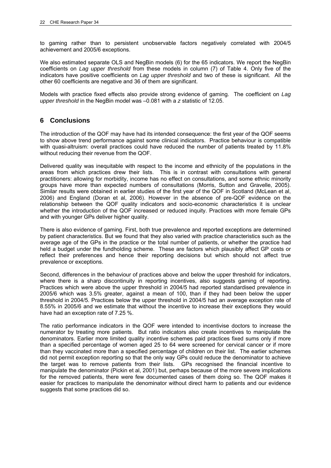to gaming rather than to persistent unobservable factors negatively correlated with 2004/5 achievement and 2005/6 exceptions.

We also estimated separate OLS and NegBin models (6) for the 65 indicators. We report the NegBin coefficients on *Lag upper threshold* from these models in column (7) of Table 4. Only five of the indicators have positive coefficients on *Lag upper threshold* and two of these is significant. All the other 60 coefficients are negative and 36 of them are significant.

Models with practice fixed effects also provide strong evidence of gaming. The coefficient on *Lag upper threshold* in the NegBin model was –0.081 with a *z* statistic of 12.05.

## **6 Conclusions**

The introduction of the QOF may have had its intended consequence: the first year of the QOF seems to show above trend performance against some clinical indicators. Practice behaviour is compatible with quasi-altruism: overall practices could have reduced the number of patients treated by 11.8% without reducing their revenue from the QOF.

Delivered quality was inequitable with respect to the income and ethnicity of the populations in the areas from which practices drew their lists. This is in contrast with consultations with general practitioners: allowing for morbidity, income has no effect on consultations, and some ethnic minority groups have more than expected numbers of consultations (Morris, Sutton and Gravelle, 2005). Similar results were obtained in earlier studies of the first year of the QOF in Scotland (McLean et al, 2006) and England (Doran et al, 2006). However in the absence of pre-QOF evidence on the relationship between the QOF quality indicators and socio-economic characteristics it is unclear whether the introduction of the QOF increased or reduced inquity. Practices with more female GPs and with younger GPs deliver higher quality.

There is also evidence of gaming. First, both true prevalence and reported exceptions are determined by patient characteristics. But we found that they also varied with practice characteristics such as the average age of the GPs in the practice or the total number of patients, or whether the practice had held a budget under the fundholding scheme. These are factors which plausibly affect GP costs or reflect their preferences and hence their reporting decisions but which should not affect true prevalence or exceptions.

Second, differences in the behaviour of practices above and below the upper threshold for indicators, where there is a sharp discontinuity in reporting incentives, also suggests gaming of reporting. Practices which were above the upper threshold in 2004/5 had reported standardised prevalence in 2005/6 which was 3.5% greater, against a mean of 100, than if they had been below the upper threshold in 2004/5. Practices below the upper threshold in 2004/5 had an average exception rate of 8.55% in 2005/6 and we estimate that without the incentive to increase their exceptions they would have had an exception rate of 7.25 %.

The ratio performance indicators in the QOF were intended to incentivise doctors to increase the numerator by treating more patients. But ratio indicators also create incentives to manipulate the denominators. Earlier more limited quality incentive schemes paid practices fixed sums only if more than a specified percentage of women aged 25 to 64 were screened for cervical cancer or if more than they vaccinated more than a specified percentage of children on their list. The earlier schemes did not permit exception reporting so that the only way GPs could reduce the denominator to achieve the target was to remove patients from their lists. GPs recognised the financial incentive to manipulate the denominator (Pickin et al, 2001) but, perhaps because of the more severe implications for the removed patients, there were few documented cases of them doing so. The QOF makes it easier for practices to manipulate the denominator without direct harm to patients and our evidence suggests that some practices did so.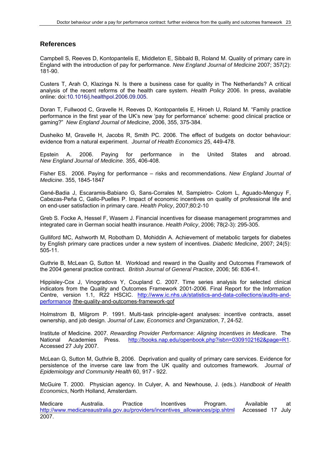## **References**

Campbell S, Reeves D, Kontopantelis E, Middleton E, Sibbald B, Roland M. Quality of primary care in England with the introduction of pay for performance. *New England Journal of Medicine* 2007; 357(2): 181-90.

Custers T, Arah O, Klazinga N. Is there a business case for quality in The Netherlands? A critical analysis of the recent reforms of the health care system. *Health Policy* 2006. In press, available online: doi:10.1016/j.healthpol.2006.09.005.

Doran T, Fullwood C, Gravelle H, Reeves D, Kontopantelis E, Hiroeh U, Roland M. "Family practice performance in the first year of the UK's new 'pay for performance' scheme: good clinical practice or gaming?" *New England Journal of Medicine*, 2006, 355, 375-384.

Dusheiko M, Gravelle H, Jacobs R, Smith PC. 2006. The effect of budgets on doctor behaviour: evidence from a natural experiment. *Journal of Health Economics* 25, 449-478.

Epstein A. 2006. Paying for performance in the United States and abroad. *New England Journal of Medicine*. 355, 406-408.

Fisher ES. 2006. Paying for performance – risks and recommendations. *New England Journal of Medicine*. 355, 1845-1847

Gené-Badia J, Escaramis-Babiano G, Sans-Corrales M, Sampietro- Colom L, Aguado-Menguy F, Cabezas-Peña C, Gallo-Puelles P. Impact of economic incentives on quality of professional life and on end-user satisfaction in primary care. *Health Policy*, 2007;80:2-10

Greb S. Focke A, Hessel F, Wasem J. Financial incentives for disease management programmes and integrated care in German social health insurance. *Health Policy*, 2006; 78(2-3): 295-305.

Gulliford MC, Ashworth M, Robotham D, Mohiddin A. Achievement of metabolic targets for diabetes by English primary care practices under a new system of incentives. *Diabetic Medicine*, 2007; 24(5): 505-11.

Guthrie B, McLean G, Sutton M. Workload and reward in the Quality and Outcomes Framework of the 2004 general practice contract. *British Journal of General Practice*, 2006; 56: 836-41.

Hippisley-Cox J, Vinogradova Y, Coupland C. 2007. Time series analysis for selected clinical indicators from the Quality and Outcomes Framework 2001-2006. Final Report for the Information Centre, version 1.1, R22 HSCIC. http://www.ic.nhs.uk/statistics-and-data-collections/audits-andperformance /the-quality-and-outcomes-framework-qof

Holmstrom B, Milgrom P. 1991. Multi-task principle-agent analyses: incentive contracts, asset ownership, and job design. *Journal of Law, Economics and Organization*, 7, 24-52.

Institute of Medicine. 2007. *Rewarding Provider Performance: Aligning Incentives in Medicare*. The National Academies Press. http://books.nap.edu/openbook.php?isbn=0309102162&page=R1. Accessed 27 July 2007.

McLean G, Sutton M, Guthrie B, 2006. Deprivation and quality of primary care services. Evidence for persistence of the inverse care law from the UK quality and outcomes framework. *Journal of Epidemiology and Community Health* 60, 917 - 922.

McGuire T. 2000. Physician agency. In Culyer, A. and Newhouse, J. (eds.). *Handbook of Health Economics*, North Holland, Amsterdam.

Medicare Australia. Practice Incentives Program. Available at http://www.medicareaustralia.gov.au/providers/incentives\_allowances/pip.shtml Accessed 17 July 2007.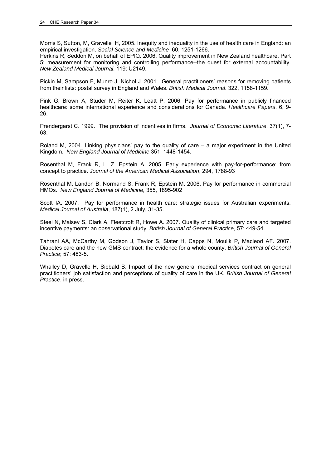Morris S, Sutton, M, Gravelle H, 2005. Inequity and inequality in the use of health care in England: an empirical investigation. *Social Science and Medicine* 60, 1251-1266.

Perkins R, Seddon M, on behalf of EPIQ. 2006. Quality improvement in New Zealand healthcare. Part 5: measurement for monitoring and controlling performance--the quest for external accountability. *New Zealand Medical Journal*. 119: U2149.

Pickin M, Sampson F, Munro J, Nichol J. 2001. General practitioners' reasons for removing patients from their lists: postal survey in England and Wales. *British Medical Journal*. 322, 1158-1159.

Pink G, Brown A, Studer M, Reiter K, Leatt P. 2006. Pay for performance in publicly financed healthcare: some international experience and considerations for Canada. *Healthcare Papers*. 6, 9- 26.

Prendergarst C. 1999. The provision of incentives in firms. *Journal of Economic Literature*. 37(1), 7- 63.

Roland M, 2004. Linking physicians' pay to the quality of care – a major experiment in the United Kingdom. *New England Journal of Medicine* 351, 1448-1454.

Rosenthal M, Frank R, Li Z, Epstein A. 2005. Early experience with pay-for-performance: from concept to practice. *Journal of the American Medical Association*, 294, 1788-93

Rosenthal M, Landon B, Normand S, Frank R, Epstein M. 2006. Pay for performance in commercial HMOs. *New England Journal of Medicine,* 355, 1895-902

Scott IA. 2007. Pay for performance in health care: strategic issues for Australian experiments. *Medical Journal of Australia*, 187(1), 2 July, 31-35.

Steel N, Maisey S, Clark A, Fleetcroft R, Howe A. 2007. Quality of clinical primary care and targeted incentive payments: an observational study. *British Journal of General Practice*, 57: 449-54.

Tahrani AA, McCarthy M, Godson J, Taylor S, Slater H, Capps N, Moulik P, Macleod AF. 2007. Diabetes care and the new GMS contract: the evidence for a whole county. *British Journal of General Practice*; 57: 483-5.

Whalley D, Gravelle H, Sibbald B. Impact of the new general medical services contract on general practitioners' job satisfaction and perceptions of quality of care in the UK. *British Journal of General Practice*, in press.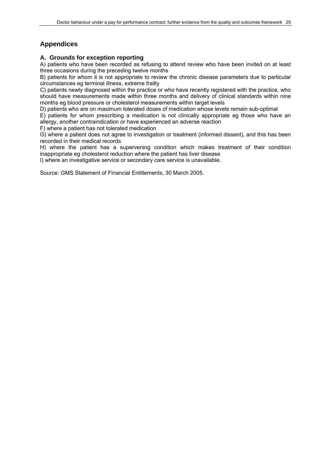## **Appendices**

### **A. Grounds for exception reporting**

A) patients who have been recorded as refusing to attend review who have been invited on at least three occasions during the preceding twelve months

B) patients for whom it is not appropriate to review the chronic disease parameters due to particular circumstances eg terminal illness, extreme frailty

C) patients newly diagnosed within the practice or who have recently registered with the practice, who should have measurements made within three months and delivery of clinical standards within nine months eg blood pressure or cholesterol measurements within target levels

D) patients who are on maximum tolerated doses of medication whose levels remain sub-optimal

E) patients for whom prescribing a medication is not clinically appropriate eg those who have an allergy, another contraindication or have experienced an adverse reaction

F) where a patient has not tolerated medication

G) where a patient does not agree to investigation or treatment (informed dissent), and this has been recorded in their medical records

H) where the patient has a supervening condition which makes treatment of their condition inappropriate eg cholesterol reduction where the patient has liver disease

I) where an investigative service or secondary care service is unavailable.

Source: GMS Statement of Financial Entitlements, 30 March 2005.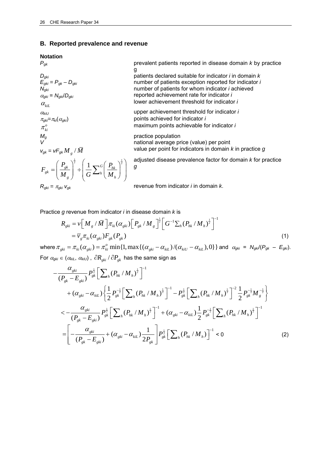#### **B. Reported prevalence and revenue**

#### **Notation**

 $R_{gki} = \pi_{gki}$ 

 $E_{gki}^{suc} = P_{gk} - D_{gki}$ <br> $N_{gki}$  $\alpha_{gki} = N_{gki}$  $\alpha_{\scriptscriptstyle{klL}}$  $\pi$ <sub>gki</sub>= $\pi$ <sub>ki</sub> $(\alpha$ <sub>gki</sub>  $\pi_{\scriptscriptstyle{ki}}^{\scriptscriptstyle{o}}$  $M_g$  practice population  $M_g$  practice population  $\left( \begin{array}{c} \mathbf{p} \ \mathbf{p}_{gk} \end{array} \right)^{\frac{1}{2}}$  ,  $\left( \begin{array}{c} 1 \ \mathbf{\nabla}^G \end{array} \right)^{\frac{1}{2}}$  $g_k$   $\begin{bmatrix} h \\ h_s \end{bmatrix}$   $\begin{bmatrix} h \\ h_s \end{bmatrix}$   $\begin{bmatrix} h \\ h_s \end{bmatrix}$  $F_{\rho k} = \left(\frac{P_{g k}}{I} \right)^2 \div \left(\frac{1}{I} \sum_{k} G \left(\frac{P_{k}}{I}\right)\right)$  $\left( \begin{array}{c} P_{\scriptscriptstyle{pk}} \end{array} \right)^{\frac{1}{2}}$   $\left( \begin{array}{c} 1 \\ 1 \end{array} \right)^{\frac{1}{\alpha}}$  $=\left(\frac{r_{gk}}{M_g}\right)^2+\left(\frac{1}{G}\sum_{h}\left(\frac{P_{hk}}{M_h}\right)^2\right)^2$ 

 $M_{g}$   $\left| G \right| \left| G \right| M$ 

*Pgk* prevalent patients reported in disease domain *k* by practice g *Dgki* patients declared suitable for indicator *i* in domain *k* number of patients exception reported for indicator *i* number of patients for whom indicator *i* achieved /*Dgki* reported achievement rate for indicator *i* lower achievement threshold for indicator *i* <sup>α</sup>*kiU* upper achievement threshold for indicator *i* ) points achieved for indicator *i* 

maximum points achievable for indicator *i*

national average price (value) per point  $v_{gk} = vF_{gk}M/dm$  *Value per point for indicators in domain k in practice g* 

adjusted disease prevalence factor for domain *k* for practice

 *vgk* revenue from indicator *i* in domain *k*.

Practice *g* revenue from indicator *i* in disease domain *k* is

*g*

$$
R_{gki} = \nu \Big[ M_g / \bar{M} \Big] \pi_{ki} (\alpha_{gki}) \Big[ P_{gk} / M_g \Big]^{\frac{1}{2}} \Big[ G^{-1} \sum_h (P_{hk} / M_h)^{\frac{1}{2}} \Big]^{-1}
$$
  
=  $\overline{\nu}_g \pi_{ki} (\alpha_{gki}) F_{gk} (P_{gk})$  (1)

 $\omega_{\text{other}} = \pi_{\text{gki}} = \pi_{\text{ki}} (\alpha_{\text{gki}}) = \pi_{\text{ki}}^o \min\{1, \max\{(\alpha_{\text{gki}} - \alpha_{\text{kil}})/(\alpha_{\text{kil}} - \alpha_{\text{kil}}), 0\}\}\$ and  $\alpha_{\text{gki}} = N_{\text{gki}}/(P_{\text{gki}} - E_{\text{gki}})$ . For  $\alpha_{gki} \in (\alpha_{kil}, \alpha_{kil})$ ,  $\partial R_{gki} / \partial P_{gk}$  has the same sign as

$$
-\frac{\alpha_{gki}}{(P_{gk} - E_{gki})} P_{gk}^{\frac{1}{2}} \Big[ \sum_{h} (P_{hk} / M_{h})^{\frac{1}{2}} \Big]^{-1} + (\alpha_{gki} - \alpha_{kil}) \Big\{ \frac{1}{2} P_{gk}^{-\frac{1}{2}} \Big[ \sum_{h} (P_{hk} / M_{h})^{\frac{1}{2}} \Big]^{-1} - P_{gk}^{\frac{1}{2}} \Big[ \sum_{h} (P_{hk} / M_{h})^{\frac{1}{2}} \Big]^{-2} \frac{1}{2} P_{gk}^{-\frac{1}{2}} M_{g}^{-\frac{1}{2}} \Big\} < -\frac{\alpha_{gki}}{(P_{gk} - E_{gki})} P_{gk}^{\frac{1}{2}} \Big[ \sum_{h} (P_{hk} / M_{h})^{\frac{1}{2}} \Big]^{-1} + (\alpha_{gki} - \alpha_{kil}) \frac{1}{2} P_{gk}^{-\frac{1}{2}} \Big[ \sum_{h} (P_{hk} / M_{h})^{\frac{1}{2}} \Big]^{-1} = \Bigg[ -\frac{\alpha_{gki}}{(P_{gk} - E_{gki})} + (\alpha_{gki} - \alpha_{kil}) \frac{1}{2P_{gk}} \Big[ P_{gk}^{\frac{1}{2}} \Big[ \sum_{h} (P_{hk} / M_{h}) \Big]^{-1} < 0 \tag{2}
$$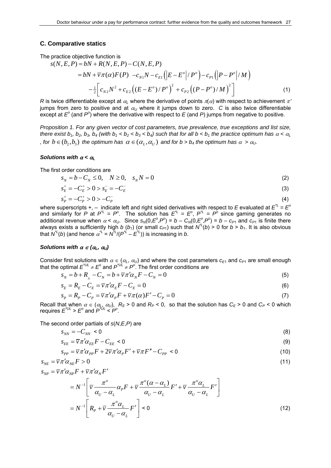#### **C. Comparative statics**

The practice objective function is

$$
s(N, E, P) = bN + R(N, E, P) - C(N, E, P)
$$
  
=  $bN + \overline{v}\pi(\alpha)F(P) - c_{N1}N - c_{E1}(|E - E^o|/P^o) - c_{P1}(|P - P^o|/M)$   

$$
-\frac{1}{2}\Big[c_{N2}N^2 + c_{E2}((E - E^o)/P^o)^2 + c_{P2}((P - P^o)/M)^2\Big]
$$
(1)

*R* is twice differentiable except at  $\alpha_l$  where the derivative of points  $\pi(\alpha)$  with respect to achievement  $\pi'$ jumps from zero to positive and at  $\alpha_U$  where it jumps down to zero. *C* is also twice differentiable except at  $E^{\circ}$  (and  $P^{\circ}$ ) where the derivative with respect to E (and P) jumps from negative to positive.

*Proposition 1. For any given vector of cost parameters, true prevalence, true exceptions and list size, there exist b<sub>1</sub>, b<sub>2</sub>, b<sub>3</sub>, b<sub>4</sub> (with b<sub>1</sub> < b<sub>2</sub> < b<sub>3</sub> < b<sub>4</sub>) such that for all b < b<sub>1</sub> the practice optimum has*  $\alpha$  *<*  $\alpha$ *<sub>l</sub> , for*  $b \in (b_1, b_2)$  *the optimum has*  $\alpha \in (\alpha_1, \alpha_1)$  *and for b > b<sub>4</sub> the optimum has*  $\alpha > \alpha_0$ *.* 

#### *Solutions with* α *<* <sup>α</sup>*<sup>L</sup>*

The first order conditions are

 $s_N = b - C_N \le 0, \quad N \ge 0, \quad s_N N = 0$  (2)

$$
s_E^+ = -C_E^+ > 0 > s_E^- = -C_E^- \tag{3}
$$

$$
s_P^+ = -C_P^+ > 0 > -C_P^- \tag{4}
$$

where superscripts +, - indicate left and right sided derivatives with respect to *E* evaluated at  $E^{\tau_L} = E^c$ and similarly for P at  $P^{\perp} = P^{\circ}$ . The solution has  $E^{\perp} = E^{\circ}$ ,  $P^{\perp} = P^{\circ}$  since gaming generates no additional revenue when  $\alpha < \alpha_U$ . Since  $s_N(0, E^0, P^0) = b - C_N(0, E^0, P^0) = b - c_{P1}$  and  $c_{P1}$  is finite there always exists a sufficiently high *b* (*b*<sub>1</sub>) (or small  $c_{P1}$ ) such that  $N^L(b) > 0$  for  $b > b_1$ . It is also obvious that  $N^{\mu}(b)$  (and hence  $\alpha^{\mu} = N^{\mu}/(P^{\mu} - E^{\mu})$ ) is increasing in *b*.

#### *Solutions with*  $\alpha \in (\alpha_L, \alpha_U)$

Consider first solutions with  $\alpha \in (\alpha_L, \alpha_U)$  and where the cost parameters  $c_{E1}$  and  $c_{P1}$  are small enough that the optimal  $E^{\text{UL}} \neq E^{\text{o}}$  and  $P^{\text{UL}} \neq P^{\text{o}}$ . The first order conditions are

$$
s_N = b + R_{N} - C_N = b + \overline{v}\pi' \alpha_N F - C_N = 0
$$
\n<sup>(5)</sup>

$$
s_E = R_E - C_E = \overline{v}\pi'\alpha_E F - C_E = 0
$$
\n<sup>(6)</sup>

$$
s_p = R_p - C_p = \overline{v}\pi'\alpha_p F + \overline{v}\pi(\alpha)F' - C_p = 0
$$
\n<sup>(7)</sup>

Recall that when  $\alpha \in (\alpha_L, \alpha_U)$ ,  $R_E > 0$  and  $R_P < 0$ , so that the solution has  $C_E > 0$  and  $C_P < 0$  which requires  $E^{\text{UL}} > E^{\text{o}}$  and  $P^{\text{UL}} < P^{\text{o}}$ .

The second order partials of *s*(*N*,*E*,*P*) are

$$
S_{NN} = -C_{NN} < 0 \tag{8}
$$

$$
S_{EE} = \overline{v}\pi' \alpha_{EE} F - C_{EE} < 0 \tag{9}
$$

$$
S_{PP} = \overline{v}\pi'\alpha_{PP}F + 2\overline{v}\pi'\alpha_{P}F' + \overline{v}\pi F'' - C_{PP} < 0 \tag{10}
$$

$$
s_{NE} = \overline{v} \pi' \alpha_{NE} F > 0 \tag{11}
$$

$$
s_{_{NP}} = \overline{\nu}\pi'\alpha_{_{NP}}F + \overline{\nu}\pi'\alpha_{_N}F'
$$

$$
= N^{-1} \left[ \overline{v} \frac{\pi^{\circ}}{\alpha_{U} - \alpha_{L}} \alpha_{P} F + \overline{v} \frac{\pi^{\circ} (\alpha - \alpha_{L})}{\alpha_{U} - \alpha_{L}} F' + \overline{v} \frac{\pi^{\circ} \alpha_{L}}{\alpha_{U} - \alpha_{L}} F' \right]
$$
  

$$
= N^{-1} \left[ R_{P} + \overline{v} \frac{\pi^{\circ} \alpha_{L}}{\alpha_{U} - \alpha_{L}} F' \right] < 0
$$
 (12)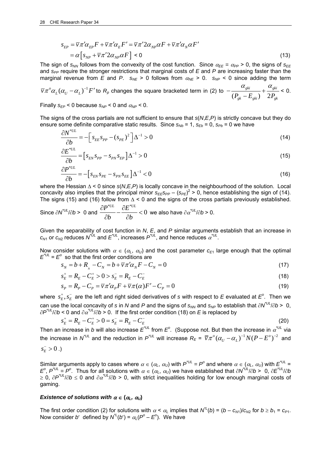$$
S_{EP} = \overline{v}\pi'\alpha_{EP}F + \overline{v}\pi'\alpha_E F' = \overline{v}\pi' 2\alpha_{NP}\alpha F + \overline{v}\pi'\alpha_N\alpha F'
$$
  
=  $\alpha \left[ s_{NP} + \overline{v}\pi' 2\alpha_{NP}\alpha F \right] < 0$  (13)

The sign of  $s_{NN}$  follows from the convexity of the cost function. Since  $\alpha_{EE} = \alpha_{PP} > 0$ , the signs of  $s_{EE}$ and *s<sub>PP</sub>* require the stronger restrictions that marginal costs of *E* and *P* are increasing faster than the marginal revenue from *E* and *P*.  $s_{NE} > 0$  follows from  $\alpha_{NE} > 0$ .  $s_{NP} < 0$  since adding the term

 $\sqrt[m]{\pi}^o \alpha_L (\alpha_U - \alpha_L)^{-1} F'$  to  $R_p$  changes the square bracketed term in (2) to  $-\frac{\alpha_{gki}}{(P_{\alpha_L} - E_{\alpha_{ki}})} + \frac{\alpha_{gki}}{2P_{\alpha_{ki}}}$  $P_{gk} - E_{gki}$ ) 2 $P_{gk}$  $-\frac{\alpha_{gki}}{(P_{\alpha} - E_{\alpha ij})} + \frac{\alpha_{gki}}{2P_{\alpha k}} < 0.$ 

Finally  $s_{EP}$  < 0 because  $s_{NP}$  < 0 and  $\alpha_{NP}$  < 0.

The signs of the cross partials are not sufficient to ensure that *s*(*N*,*E*,*P*) is strictly concave but they do ensure some definite comparative static results. Since  $s_{Nb} = 1$ ,  $s_{Eb} = 0$ ,  $s_{Pb} = 0$  we have

$$
\frac{\partial N^{*UL}}{\partial b} = -\Big[ s_{EE} s_{PP} - (s_{PE})^2 \Big] \Delta^{-1} > 0 \tag{14}
$$

$$
\frac{\partial E^{*UL}}{\partial b} = \left[ s_{EN} s_{PP} - s_{PN} s_{EP} \right] \Delta^{-1} > 0 \tag{15}
$$

$$
\frac{\partial P^{*UL}}{\partial b} = -\Big[s_{EN}s_{PE} - s_{PN}s_{EE}\Big]\Delta^{-1} < 0\tag{16}
$$

where the Hessian Δ < 0 since *s*(*N*,*E*,*P*) is locally concave in the neighbourhood of the solution. Local concavity also implies that the principal minor  $s_{EESPP} - (s_{PE})^2 > 0$ , hence establishing the sign of (14). The signs (15) and (16) follow from  $\Delta$  < 0 and the signs of the cross partials previously established.

Since 
$$
\partial N^{U_L}/\partial b > 0
$$
 and  $\frac{\partial P^{*UL}}{\partial b} - \frac{\partial E^{*UL}}{\partial b} < 0$  we also have  $\partial \alpha^{U_L}/\partial b > 0$ .

Given the separability of cost function in *N*, *E*, and *P* similar arguments establish that an increase in  $c_{M1}$  or  $c_{M2}$  reduces  $N^{UL}$  and  $E^{UL}$ , increases  $P^{UL}$ , and hence reduces  $\alpha^{UL}$ .

Now consider solutions with  $\alpha \in (\alpha_L, \alpha_U)$  and the cost parameter  $c_{E1}$  large enough that the optimal  $E^{\prime\prime\prime} = E^{\circ}$  so that the first order conditions are

$$
s_N = b + R_{N} - C_N = b + \overline{v}\pi' \alpha_N F - C_N = 0
$$
\n<sup>(17)</sup>

$$
s_E^+ = R_E - C_E^+ > 0 > s_E^- = R_E - C_E^- \tag{18}
$$

$$
s_p = R_p - C_p = \overline{v}\pi'\alpha_p F + \overline{v}\pi(\alpha)F' - C_p = 0
$$
\n(19)

where  $s_E^+, s_E^-$  are the left and right sided derivatives of  $s$  with respect to  $E$  evaluated at  $E^o$ . Then we can use the local concavity of *s* in *N* and *P* and the signs of  $s_{NN}$  and  $s_{NP}$  to establish that  $\partial N^{U_L}/\partial b > 0$ , ∂*P\*UL*/∂*b* < 0 and ∂<sup>α</sup> *\*UL*/∂*b* > 0. If the first order condition (18) on *E* is replaced by

$$
s_E^+ = R_E - C_E^+ > 0 = s_E^- = R_E - C_E^- \tag{20}
$$

Then an increase in *b* will also increase  $E^{\text{UL}}$  from  $E^{\text{o}}$ . (Suppose not. But then the increase in  $\alpha^{\text{UL}}$  via the increase in  $N^{'UL}$  and the reduction in  $P^{'UL}$  will increase  $R_E$  =  $\overline{v}\pi^o(\alpha_{_U}-\alpha_{_L})^{-1}N(P-E^o)^{-2}$  and

$$
s_{\scriptscriptstyle E}^->0\;.)
$$

Similar arguments apply to cases where  $\alpha \in (\alpha_L, \alpha_U)$  with  $P^{\dagger UL} = P^{\circ}$  and where  $\alpha \in (\alpha_L, \alpha_U)$  with  $E^{\dagger UL} =$  $E^0$ ,  $P^{\dagger UL} = P^0$ . Thus for all solutions with  $\alpha \in (\alpha_L, \alpha_U)$  we have established that  $\partial N^{\dagger UL}/\partial b > 0$ ,  $\partial E^{\dagger UL}/\partial b$ ≥ 0, ∂*P\*UL*/∂*b* ≤ 0 and ∂<sup>α</sup> *\*UL*/∂*b* > 0, with strict inequalities holding for low enough marginal costs of gaming.

#### *Existence of solutions with*  $\alpha \in (\alpha_L, \alpha_U)$

The first order condition (2) for solutions with  $\alpha < \alpha_L$  implies that  $N^L(b) = (b - c_{M1})/c_{N2}$  for  $b \ge b_1 = c_{P1}$ . Now consider *b'* defined by  $N^{t}(b') = \alpha_L(P^o - E^o)$ . We have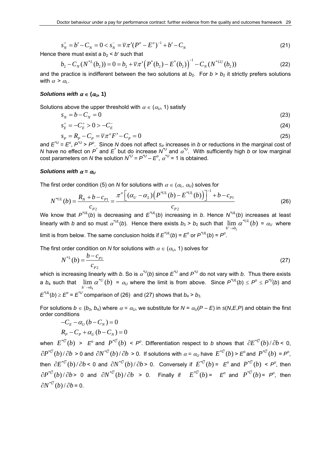$$
s_N^+ = b' - C_N = 0 < s_N^- = \overline{v}\pi'(P^o - E^o)^{-1} + b' - C_N \tag{21}
$$

Hence there must exist a  $b_2 < b'$  such that

$$
b_2 - C_N(N^{*L}(b_2)) = 0 = b_2 + \overline{\nu}\pi'\left(P^*(b_2) - E^*(b_2)\right)^{-1} - C_N(N^{*LU}(b_2))
$$
\n(22)

and the practice is indifferent between the two solutions at  $b_2$ . For  $b > b_2$  it strictly prefers solutions with  $\alpha > \alpha_L$ .

#### *Solutions with*  $\alpha \in (\alpha_0, 1)$

Solutions above the upper threshold with  $\alpha \in (\alpha_{\mathfrak{U}}, 1)$  satisfy

$$
s_N = b - C_N = 0 \tag{23}
$$

$$
s_E^+ = -C_E^+ > 0 > -C_E^- \tag{24}
$$

$$
s_p = R_p - C_p = \overline{v}\pi^o F' - C_p = 0
$$
\n<sup>(25)</sup>

and  $E^{\prime\prime} = E^{\circ}$ ,  $P^{\prime\prime} > P^{\circ}$ . Since *N* does not affect *s<sub>P</sub>* increases in *b* or reductions in the marginal cost of *N* have no effect on  $P^*$  and  $E^*$  but do increase  $N^U$  and  $\alpha^U$ . With sufficiently high *b* or low marginal cost parameters on *N* the solution  $N^U = P^U - E^O$ ,  $\alpha^U = 1$  is obtained.

#### *Solutions with*  $\alpha = \alpha_U$

The first order condition (5) on *N* for solutions with  $\alpha \in (\alpha_L, \alpha_U)$  solves for

$$
N^{*UL}(b) = \frac{R_N + b - c_{P1}}{c_{P2}} = \frac{\pi^o \left[ (\alpha_U - \alpha_L) \left( P^{*UL}(b) - E^{*UL}(b) \right) \right]^{-1} + b - c_{P1}}{c_{P2}} \tag{26}
$$

We know that *P\*UL*(*b*) is decreasing and *E\*UL*(*b*) increasing in *b*. Hence *N\*UL*(*b*) increases at least linearly with *b* and so must  $\alpha^{''UL}(b)$ . Hence there exists  $b_3 > b_2$  such that  $\lim_{b^+ \to b_3} \alpha^{*UU}(b) = \alpha_U$  where  $\overline{3}$  $b^+$  $\rightarrow b$ limit is from below. The same conclusion holds if  $E^{\text{UL}}(b) = E^{\text{o}}$  or  $P^{\text{UL}}(b) = P^{\text{o}}$ .

The first order condition on *N* for solutions with  $\alpha \in (\alpha_U, 1)$  solves for

$$
N^{*L}(b) = \frac{b - c_{p_1}}{c_{p_2}}\tag{27}
$$

which is increasing linearly with *b*. So is <sup>α</sup> *\*U*(*b*) since *E\*U* and *P\*U* do not vary with *b*. Thus there exists a *b*<sub>4</sub> such that  $\lim_{b \to b_4} \alpha^{*U}(b) = \alpha_U$  where the limit is from above. Since  $P^{*U_L}(b) \le P^{\circ} \le P^{*U}(b)$  and 4  $b^ \rightarrow b$  $E^{\text{UL}}(b) \geq E^{\circ} = E^{\text{UL}}$  comparison of (26) and (27) shows that  $b_4 > b_3$ .

For solutions  $b \in (b_3, b_4)$  where  $\alpha = \alpha_U$ , we substitute for  $N = \alpha_U(P - E)$  in  $s(N,E,P)$  and obtain the first order conditions

$$
-C_E - \alpha_U (b - C_N) = 0
$$
  

$$
R_P - C_P + \alpha_U (b - C_N) = 0
$$

when  $E^{*U}(b) > E^o$  and  $P^{*U}(b) < P^o$ . Differentiation respect to *b* shows that  $\partial E^{*U}(b)/\partial b$  < 0,  $\partial P^{*U}(b)/\partial b > 0$  and  $\partial N^{*U}(b)/\partial b > 0$ . If solutions with  $\alpha = \alpha_U$  have  $E^{*U}(b) > E^o$  and  $P^{*U}(b) = P^o$ , then  $\partial E^{*U}(b)/\partial b$  < 0 and  $\partial N^{*U}(b)/\partial b$  > 0. Conversely if  $E^{*U}(b)$  =  $E^{\circ}$  and  $P^{*U}(b)$  <  $P^{\circ}$ , then  $\partial P^{*U}(b)/\partial b$  > 0 and  $\partial N^{*U}(b)/\partial b$  > 0. Finally if  $E^{*U}(b)$  =  $E^{\circ}$  and  $P^{*U}(b)$  =  $P^{\circ}$ , then  $\partial N^{*U}(b)/\partial b = 0.$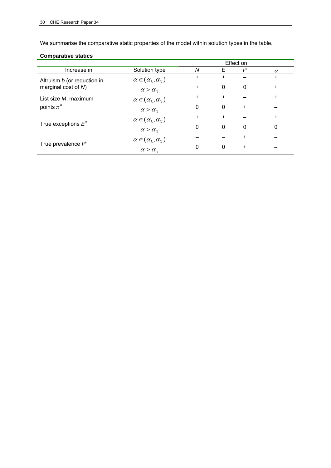We summarise the comparative static properties of the model within solution types in the table.

### **Comparative statics**

|                             |                                          | Effect on |           |   |           |
|-----------------------------|------------------------------------------|-----------|-----------|---|-----------|
| Increase in                 | Solution type                            | N         | Ε         | P | $\alpha$  |
| Altruism b (or reduction in | $\alpha \in (\alpha_L, \alpha_U)$        | ÷.        | $\ddot{}$ |   | $\ddot{}$ |
| marginal cost of N)         | $\alpha > \alpha_{U}$                    | $\ddot{}$ | 0         | 0 | $\ddot{}$ |
| List size M; maximum        | $\alpha \in (\alpha_L, \alpha_U)$        | ÷.        | $\ddot{}$ |   | $\ddot{}$ |
| points $\pi^o$              | $\alpha > \alpha_{U}$                    | 0         | 0         | ÷ |           |
|                             | $\alpha \in (\alpha_L, \alpha_U)$        | ÷.        | $\ddot{}$ |   | $\ddot{}$ |
| True exceptions $E^{\circ}$ | $\alpha > \alpha$ <sub>U</sub>           | 0         | 0         | 0 | $\Omega$  |
|                             | $\alpha \in (\alpha_L, \alpha_U)$        |           |           | ÷ |           |
| True prevalence $P^{\circ}$ | $\alpha > \alpha_{\scriptscriptstyle U}$ | 0         | 0         | + |           |